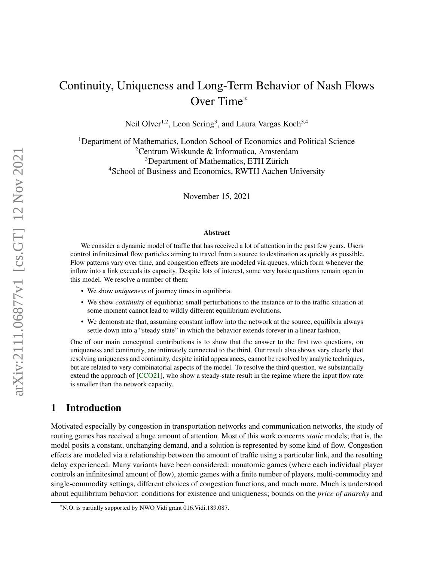# Continuity, Uniqueness and Long-Term Behavior of Nash Flows Over Time\*

Neil Olver<sup>1,2</sup>, Leon Sering<sup>3</sup>, and Laura Vargas Koch<sup>3,4</sup>

<sup>1</sup>Department of Mathematics, London School of Economics and Political Science <sup>2</sup>Centrum Wiskunde & Informatica, Amsterdam <sup>3</sup>Department of Mathematics, ETH Zürich <sup>4</sup>School of Business and Economics, RWTH Aachen University

November 15, 2021

#### Abstract

We consider a dynamic model of traffic that has received a lot of attention in the past few years. Users control infinitesimal flow particles aiming to travel from a source to destination as quickly as possible. Flow patterns vary over time, and congestion effects are modeled via queues, which form whenever the inflow into a link exceeds its capacity. Despite lots of interest, some very basic questions remain open in this model. We resolve a number of them:

- We show *uniqueness* of journey times in equilibria.
- We show *continuity* of equilibria: small perturbations to the instance or to the traffic situation at some moment cannot lead to wildly different equilibrium evolutions.
- We demonstrate that, assuming constant inflow into the network at the source, equilibria always settle down into a "steady state" in which the behavior extends forever in a linear fashion.

One of our main conceptual contributions is to show that the answer to the first two questions, on uniqueness and continuity, are intimately connected to the third. Our result also shows very clearly that resolving uniqueness and continuity, despite initial appearances, cannot be resolved by analytic techniques, but are related to very combinatorial aspects of the model. To resolve the third question, we substantially extend the approach of [\[CCO21\]](#page-24-0), who show a steady-state result in the regime where the input flow rate is smaller than the network capacity.

# 1 Introduction

Motivated especially by congestion in transportation networks and communication networks, the study of routing games has received a huge amount of attention. Most of this work concerns *static* models; that is, the model posits a constant, unchanging demand, and a solution is represented by some kind of flow. Congestion effects are modeled via a relationship between the amount of traffic using a particular link, and the resulting delay experienced. Many variants have been considered: nonatomic games (where each individual player controls an infinitesimal amount of flow), atomic games with a finite number of players, multi-commodity and single-commodity settings, different choices of congestion functions, and much more. Much is understood about equilibrium behavior: conditions for existence and uniqueness; bounds on the *price of anarchy* and

<sup>\*</sup>N.O. is partially supported by NWO Vidi grant 016.Vidi.189.087.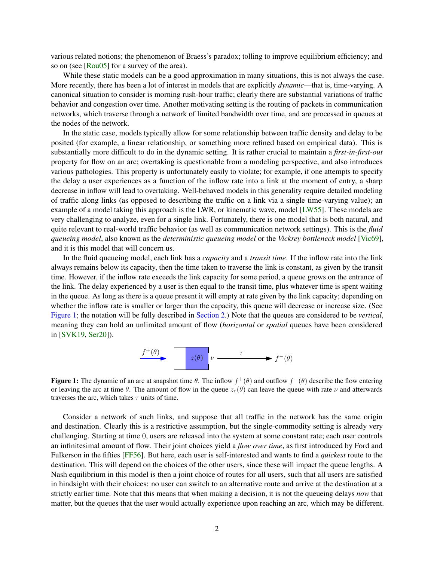various related notions; the phenomenon of Braess's paradox; tolling to improve equilibrium efficiency; and so on (see [\[Rou05\]](#page-24-1) for a survey of the area).

While these static models can be a good approximation in many situations, this is not always the case. More recently, there has been a lot of interest in models that are explicitly *dynamic*—that is, time-varying. A canonical situation to consider is morning rush-hour traffic; clearly there are substantial variations of traffic behavior and congestion over time. Another motivating setting is the routing of packets in communication networks, which traverse through a network of limited bandwidth over time, and are processed in queues at the nodes of the network.

In the static case, models typically allow for some relationship between traffic density and delay to be posited (for example, a linear relationship, or something more refined based on empirical data). This is substantially more difficult to do in the dynamic setting. It is rather crucial to maintain a *first-in-first-out* property for flow on an arc; overtaking is questionable from a modeling perspective, and also introduces various pathologies. This property is unfortunately easily to violate; for example, if one attempts to specify the delay a user experiences as a function of the inflow rate into a link at the moment of entry, a sharp decrease in inflow will lead to overtaking. Well-behaved models in this generality require detailed modeling of traffic along links (as opposed to describing the traffic on a link via a single time-varying value); an example of a model taking this approach is the LWR, or kinematic wave, model [\[LW55\]](#page-24-2). These models are very challenging to analyze, even for a single link. Fortunately, there is one model that is both natural, and quite relevant to real-world traffic behavior (as well as communication network settings). This is the *fluid queueing model*, also known as the *deterministic queueing model* or the *Vickrey bottleneck model* [\[Vic69\]](#page-25-0), and it is this model that will concern us.

In the fluid queueing model, each link has a *capacity* and a *transit time*. If the inflow rate into the link always remains below its capacity, then the time taken to traverse the link is constant, as given by the transit time. However, if the inflow rate exceeds the link capacity for some period, a queue grows on the entrance of the link. The delay experienced by a user is then equal to the transit time, plus whatever time is spent waiting in the queue. As long as there is a queue present it will empty at rate given by the link capacity; depending on whether the inflow rate is smaller or larger than the capacity, this queue will decrease or increase size. (See [Figure 1;](#page-1-0) the notation will be fully described in [Section 2.](#page-4-0)) Note that the queues are considered to be *vertical*, meaning they can hold an unlimited amount of flow (*horizontal* or *spatial* queues have been considered in [\[SVK19,](#page-25-1) [Ser20\]](#page-24-3)).



<span id="page-1-0"></span>**Figure 1:** The dynamic of an arc at snapshot time  $\theta$ . The inflow  $f^+(\theta)$  and outflow  $f^-(\theta)$  describe the flow entering or leaving the arc at time  $\theta$ . The amount of flow in the queue  $z_e(\theta)$  can leave the queue with rate  $\nu$  and afterwards traverses the arc, which takes  $\tau$  units of time.

Consider a network of such links, and suppose that all traffic in the network has the same origin and destination. Clearly this is a restrictive assumption, but the single-commodity setting is already very challenging. Starting at time 0, users are released into the system at some constant rate; each user controls an infinitesimal amount of flow. Their joint choices yield a *flow over time*, as first introduced by Ford and Fulkerson in the fifties [\[FF56\]](#page-24-4). But here, each user is self-interested and wants to find a *quickest* route to the destination. This will depend on the choices of the other users, since these will impact the queue lengths. A Nash equilibrium in this model is then a joint choice of routes for all users, such that all users are satisfied in hindsight with their choices: no user can switch to an alternative route and arrive at the destination at a strictly earlier time. Note that this means that when making a decision, it is not the queueing delays *now* that matter, but the queues that the user would actually experience upon reaching an arc, which may be different.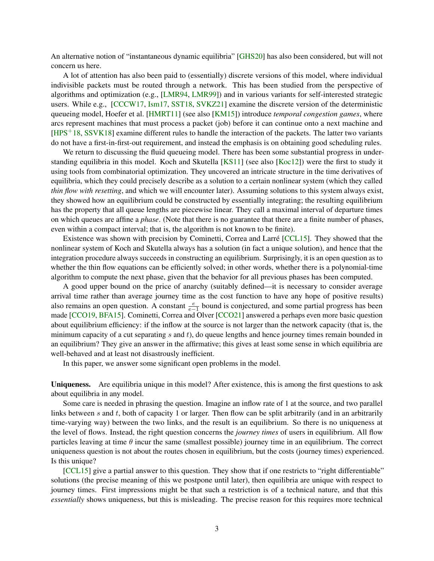An alternative notion of "instantaneous dynamic equilibria" [\[GHS20\]](#page-24-5) has also been considered, but will not concern us here.

A lot of attention has also been paid to (essentially) discrete versions of this model, where individual indivisible packets must be routed through a network. This has been studied from the perspective of algorithms and optimization (e.g., [\[LMR94,](#page-24-6) [LMR99\]](#page-24-7)) and in various variants for self-interested strategic users. While e.g., [\[CCCW17,](#page-23-0) [Ism17,](#page-24-8) [SST18,](#page-25-2) [SVKZ21\]](#page-25-3) examine the discrete version of the deterministic queueing model, Hoefer et al. [\[HMRT11\]](#page-24-9) (see also [\[KM15\]](#page-24-10)) introduce *temporal congestion games*, where arcs represent machines that must process a packet (job) before it can continue onto a next machine and  $[HPS<sup>+</sup>18, SSVK18]$  $[HPS<sup>+</sup>18, SSVK18]$  $[HPS<sup>+</sup>18, SSVK18]$  examine different rules to handle the interaction of the packets. The latter two variants do not have a first-in-first-out requirement, and instead the emphasis is on obtaining good scheduling rules.

We return to discussing the fluid queueing model. There has been some substantial progress in understanding equilibria in this model. Koch and Skutella  $[KS11]$  (see also  $[Koc12]$ ) were the first to study it using tools from combinatorial optimization. They uncovered an intricate structure in the time derivatives of equilibria, which they could precisely describe as a solution to a certain nonlinear system (which they called *thin flow with resetting*, and which we will encounter later). Assuming solutions to this system always exist, they showed how an equilibrium could be constructed by essentially integrating; the resulting equilibrium has the property that all queue lengths are piecewise linear. They call a maximal interval of departure times on which queues are affine a *phase*. (Note that there is no guarantee that there are a finite number of phases, even within a compact interval; that is, the algorithm is not known to be finite).

Existence was shown with precision by Cominetti, Correa and Larré  $[CL15]$ . They showed that the nonlinear system of Koch and Skutella always has a solution (in fact a unique solution), and hence that the integration procedure always succeeds in constructing an equilibrium. Surprisingly, it is an open question as to whether the thin flow equations can be efficiently solved; in other words, whether there is a polynomial-time algorithm to compute the next phase, given that the behavior for all previous phases has been computed.

A good upper bound on the price of anarchy (suitably defined—it is necessary to consider average arrival time rather than average journey time as the cost function to have any hope of positive results) also remains an open question. A constant  $\frac{e}{e-1}$  bound is conjectured, and some partial progress has been made [\[CCO19,](#page-23-2) [BFA15\]](#page-23-3). Cominetti, Correa and Olver [\[CCO21\]](#page-24-0) answered a perhaps even more basic question about equilibrium efficiency: if the inflow at the source is not larger than the network capacity (that is, the minimum capacity of a cut separating  $s$  and  $t$ ), do queue lengths and hence journey times remain bounded in an equilibrium? They give an answer in the affirmative; this gives at least some sense in which equilibria are well-behaved and at least not disastrously inefficient.

In this paper, we answer some significant open problems in the model.

Uniqueness. Are equilibria unique in this model? After existence, this is among the first questions to ask about equilibria in any model.

Some care is needed in phrasing the question. Imagine an inflow rate of 1 at the source, and two parallel links between s and t, both of capacity 1 or larger. Then flow can be split arbitrarily (and in an arbitrarily time-varying way) between the two links, and the result is an equilibrium. So there is no uniqueness at the level of flows. Instead, the right question concerns the *journey times* of users in equilibrium. All flow particles leaving at time  $\theta$  incur the same (smallest possible) journey time in an equilibrium. The correct uniqueness question is not about the routes chosen in equilibrium, but the costs (journey times) experienced. Is this unique?

[\[CCL15\]](#page-23-1) give a partial answer to this question. They show that if one restricts to "right differentiable" solutions (the precise meaning of this we postpone until later), then equilibria are unique with respect to journey times. First impressions might be that such a restriction is of a technical nature, and that this *essentially* shows uniqueness, but this is misleading. The precise reason for this requires more technical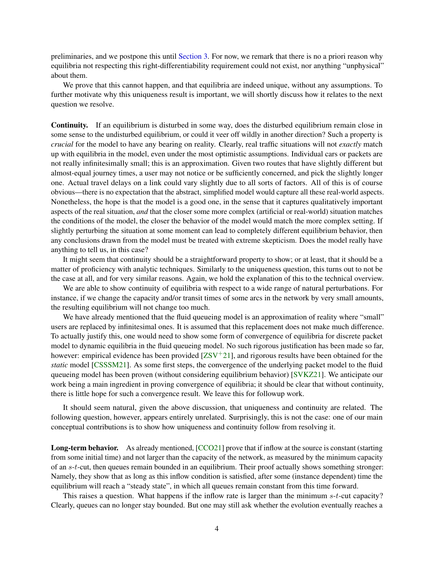preliminaries, and we postpone this until [Section 3.](#page-6-0) For now, we remark that there is no a priori reason why equilibria not respecting this right-differentiability requirement could not exist, nor anything "unphysical" about them.

We prove that this cannot happen, and that equilibria are indeed unique, without any assumptions. To further motivate why this uniqueness result is important, we will shortly discuss how it relates to the next question we resolve.

Continuity. If an equilibrium is disturbed in some way, does the disturbed equilibrium remain close in some sense to the undisturbed equilibrium, or could it veer off wildly in another direction? Such a property is *crucial* for the model to have any bearing on reality. Clearly, real traffic situations will not *exactly* match up with equilibria in the model, even under the most optimistic assumptions. Individual cars or packets are not really infinitesimally small; this is an approximation. Given two routes that have slightly different but almost-equal journey times, a user may not notice or be sufficiently concerned, and pick the slightly longer one. Actual travel delays on a link could vary slightly due to all sorts of factors. All of this is of course obvious—there is no expectation that the abstract, simplified model would capture all these real-world aspects. Nonetheless, the hope is that the model is a good one, in the sense that it captures qualitatively important aspects of the real situation, *and* that the closer some more complex (artificial or real-world) situation matches the conditions of the model, the closer the behavior of the model would match the more complex setting. If slightly perturbing the situation at some moment can lead to completely different equilibrium behavior, then any conclusions drawn from the model must be treated with extreme skepticism. Does the model really have anything to tell us, in this case?

It might seem that continuity should be a straightforward property to show; or at least, that it should be a matter of proficiency with analytic techniques. Similarly to the uniqueness question, this turns out to not be the case at all, and for very similar reasons. Again, we hold the explanation of this to the technical overview.

We are able to show continuity of equilibria with respect to a wide range of natural perturbations. For instance, if we change the capacity and/or transit times of some arcs in the network by very small amounts, the resulting equilibrium will not change too much.

We have already mentioned that the fluid queueing model is an approximation of reality where "small" users are replaced by infinitesimal ones. It is assumed that this replacement does not make much difference. To actually justify this, one would need to show some form of convergence of equilibria for discrete packet model to dynamic equilibria in the fluid queueing model. No such rigorous justification has been made so far, however: empirical evidence has been provided  $[ZSV^+21]$  $[ZSV^+21]$ , and rigorous results have been obtained for the *static* model [\[CSSSM21\]](#page-24-14). As some first steps, the convergence of the underlying packet model to the fluid queueing model has been proven (without considering equilibrium behavior) [\[SVKZ21\]](#page-25-3). We anticipate our work being a main ingredient in proving convergence of equilibria; it should be clear that without continuity, there is little hope for such a convergence result. We leave this for followup work.

It should seem natural, given the above discussion, that uniqueness and continuity are related. The following question, however, appears entirely unrelated. Surprisingly, this is not the case: one of our main conceptual contributions is to show how uniqueness and continuity follow from resolving it.

Long-term behavior. As already mentioned, [\[CCO21\]](#page-24-0) prove that if inflow at the source is constant (starting from some initial time) and not larger than the capacity of the network, as measured by the minimum capacity of an s-t-cut, then queues remain bounded in an equilibrium. Their proof actually shows something stronger: Namely, they show that as long as this inflow condition is satisfied, after some (instance dependent) time the equilibrium will reach a "steady state", in which all queues remain constant from this time forward.

This raises a question. What happens if the inflow rate is larger than the minimum s-t-cut capacity? Clearly, queues can no longer stay bounded. But one may still ask whether the evolution eventually reaches a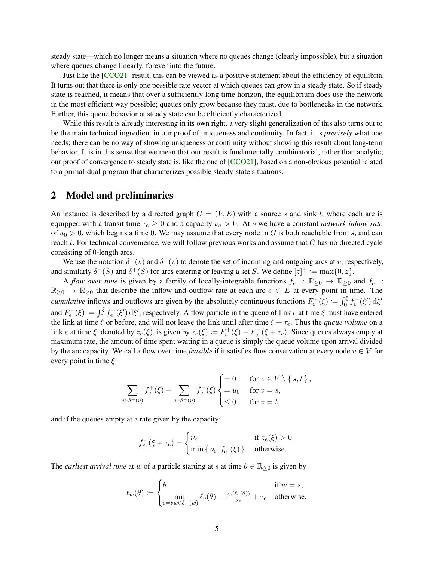steady state—which no longer means a situation where no queues change (clearly impossible), but a situation where queues change linearly, forever into the future.

Just like the [\[CCO21\]](#page-24-0) result, this can be viewed as a positive statement about the efficiency of equilibria. It turns out that there is only one possible rate vector at which queues can grow in a steady state. So if steady state is reached, it means that over a sufficiently long time horizon, the equilibrium does use the network in the most efficient way possible; queues only grow because they must, due to bottlenecks in the network. Further, this queue behavior at steady state can be efficiently characterized.

While this result is already interesting in its own right, a very slight generalization of this also turns out to be the main technical ingredient in our proof of uniqueness and continuity. In fact, it is *precisely* what one needs; there can be no way of showing uniqueness or continuity without showing this result about long-term behavior. It is in this sense that we mean that our result is fundamentally combinatorial, rather than analytic; our proof of convergence to steady state is, like the one of [\[CCO21\]](#page-24-0), based on a non-obvious potential related to a primal-dual program that characterizes possible steady-state situations.

#### <span id="page-4-0"></span>2 Model and preliminaries

An instance is described by a directed graph  $G = (V, E)$  with a source s and sink t, where each arc is equipped with a transit time  $\tau_e \geq 0$  and a capacity  $\nu_e > 0$ . At s we have a constant *network inflow rate* of  $u_0 > 0$ , which begins a time 0. We may assume that every node in G is both reachable from s, and can reach t. For technical convenience, we will follow previous works and assume that G has no directed cycle consisting of 0-length arcs.

We use the notation  $\delta^-(v)$  and  $\delta^+(v)$  to denote the set of incoming and outgoing arcs at v, respectively, and similarly  $\delta^-(S)$  and  $\delta^+(S)$  for arcs entering or leaving a set S. We define  $[z]^+ := \max\{0, z\}.$ 

A *flow over time* is given by a family of locally-integrable functions  $f_e^+$ :  $\mathbb{R}_{\geq 0} \to \mathbb{R}_{\geq 0}$  and  $f_e^-$ :  $\mathbb{R}_{\geq 0} \to \mathbb{R}_{\geq 0}$  that describe the inflow and outflow rate at each arc  $e \in E$  at every point in time. The *cumulative* inflows and outflows are given by the absolutely continuous functions  $F_e^+(\xi) := \int_0^{\xi} f_e^+(\xi') d\xi'$ and  $F_e^-(\xi) := \int_0^{\xi} f_e^-(\xi') d\xi'$ , respectively. A flow particle in the queue of link e at time  $\xi$  must have entered the link at time  $\xi$  or before, and will not leave the link until after time  $\xi + \tau_e$ . Thus the *queue volume* on a link e at time  $\xi$ , denoted by  $z_e(\xi)$ , is given by  $z_e(\xi) := F_e^+(\xi) - F_e^-(\xi + \tau_e)$ . Since queues always empty at maximum rate, the amount of time spent waiting in a queue is simply the queue volume upon arrival divided by the arc capacity. We call a flow over time *feasible* if it satisfies flow conservation at every node  $v \in V$  for every point in time  $\xi$ :

$$
\sum_{e \in \delta^+(v)} f_e^+(\xi) - \sum_{e \in \delta^-(v)} f_e^-(\xi) \begin{cases} = 0 & \text{for } v \in V \setminus \{s, t\}, \\ = u_0 & \text{for } v = s, \\ \leq 0 & \text{for } v = t, \end{cases}
$$

and if the queues empty at a rate given by the capacity:

$$
f_e^-(\xi + \tau_e) = \begin{cases} \nu_e & \text{if } z_e(\xi) > 0, \\ \min\{ \nu_e, f_e^+(\xi) \} & \text{otherwise.} \end{cases}
$$

The *earliest arrival time* at w of a particle starting at s at time  $\theta \in \mathbb{R}_{\geq 0}$  is given by

$$
\ell_w(\theta) \coloneqq \begin{cases} \theta & \text{if } w = s, \\ \min_{e = vw \in \delta^-(w)} \ell_v(\theta) + \frac{z_e(\ell_v(\theta))}{\nu_e} + \tau_e & \text{otherwise.} \end{cases}
$$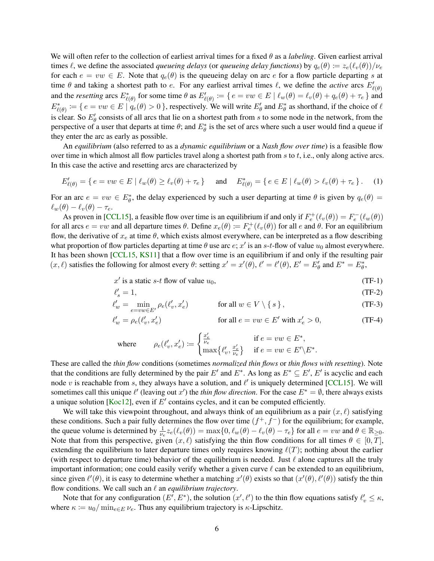We will often refer to the collection of earliest arrival times for a fixed θ as a *labeling*. Given earliest arrival times  $\ell$ , we define the associated *queueing delays* (or *queueing delay functions*) by  $q_e(\theta) := z_e(\ell_v(\theta))/\nu_e$ for each  $e = vw \in E$ . Note that  $q_e(\theta)$  is the queueing delay on arc e for a flow particle departing s at time  $\theta$  and taking a shortest path to e. For any earliest arrival times  $\ell$ , we define the *active* arcs  $E'_{\ell(\theta)}$ and the *resetting* arcs  $E^*_{\ell(\theta)}$  for some time  $\theta$  as  $E'_{\ell(\theta)} := \{ e = vw \in E \mid \ell_w(\theta) = \ell_v(\theta) + q_e(\theta) + \tau_e \}$  and  $E^*_{\ell(\theta)} := \{ e = vw \in E \mid q_e(\theta) > 0 \}$ , respectively. We will write  $E'_\theta$  and  $E^*_{\theta}$  as shorthand, if the choice of  $\ell$ is clear. So  $E'_{\theta}$  consists of all arcs that lie on a shortest path from s to some node in the network, from the perspective of a user that departs at time  $\theta$ ; and  $E^*_{\theta}$  is the set of arcs where such a user would find a queue if they enter the arc as early as possible.

An *equilibrium* (also referred to as a *dynamic equilibrium* or a *Nash flow over time*) is a feasible flow over time in which almost all flow particles travel along a shortest path from  $s$  to  $t$ , i.e., only along active arcs. In this case the active and resetting arcs are characterized by

<span id="page-5-0"></span>
$$
E'_{\ell(\theta)} = \{ e = vw \in E \mid \ell_w(\theta) \ge \ell_v(\theta) + \tau_e \} \quad \text{and} \quad E^*_{\ell(\theta)} = \{ e \in E \mid \ell_w(\theta) > \ell_v(\theta) + \tau_e \}. \tag{1}
$$

For an arc  $e = vw \in E^*_{\theta}$ , the delay experienced by such a user departing at time  $\theta$  is given by  $q_e(\theta) =$  $\ell_w(\theta) - \ell_v(\theta) - \tau_e.$ 

As proven in [\[CCL15\]](#page-23-1), a feasible flow over time is an equilibrium if and only if  $F_e^+(\ell_v(\theta)) = F_e^-(\ell_w(\theta))$ for all arcs  $e = vw$  and all departure times  $\theta$ . Define  $x_e(\theta) := F_e^+(\ell_v(\theta))$  for all e and  $\theta$ . For an equilibrium flow, the derivative of  $x_e$  at time  $\theta$ , which exists almost everywhere, can be interpreted as a flow describing what proportion of flow particles departing at time  $\theta$  use arc  $e$ ;  $x'$  is an  $s$ -t-flow of value  $u_0$  almost everywhere. It has been shown [\[CCL15,](#page-23-1) [KS11\]](#page-24-12) that a flow over time is an equilibrium if and only if the resulting pair  $(x, \ell)$  satisfies the following for almost every  $\theta$ : setting  $x' = x'(\theta)$ ,  $\ell' = \ell'(\theta)$ ,  $E' = E'_{\theta}$  and  $E^* = E^*_{\theta}$ ,

<span id="page-5-1"></span>
$$
x' \text{ is a static } s \text{-} t \text{ flow of value } u_0,
$$
 (TF-1)

$$
\ell_s' = 1,\tag{TF-2}
$$

$$
\ell'_w = \min_{e = vw \in E'} \rho_e(\ell'_v, x'_e) \qquad \text{for all } w \in V \setminus \{s\},\tag{TF-3}
$$

$$
\ell'_w = \rho_e(\ell'_v, x'_e) \qquad \text{for all } e = vw \in E' \text{ with } x'_e > 0,
$$
 (TF-4)

<span id="page-5-3"></span><span id="page-5-2"></span>
$$
\text{where} \qquad \rho_e(\ell'_v,x'_e) \coloneqq \begin{cases} \frac{x'_e}{\nu_e} & \text{if } e = vw \in E^*,\\ \max\{\ell'_v,\frac{x'_e}{\nu_e}\} & \text{if } e = vw \in E' \backslash E^*. \end{cases}
$$

These are called the *thin flow* conditions (sometimes *normalized thin flows* or *thin flows with resetting*). Note that the conditions are fully determined by the pair E' and  $E^*$ . As long as  $E^* \subseteq E'$ , E' is acyclic and each node v is reachable from s, they always have a solution, and  $\ell'$  is uniquely determined [\[CCL15\]](#page-23-1). We will sometimes call this unique  $\ell'$  (leaving out x') the *thin flow direction*. For the case  $E^* = \emptyset$ , there always exists a unique solution [\[Koc12\]](#page-24-13), even if  $E'$  contains cycles, and it can be computed efficiently.

We will take this viewpoint throughout, and always think of an equilibrium as a pair  $(x, \ell)$  satisfying these conditions. Such a pair fully determines the flow over time  $(f^+, f^-)$  for the equilibrium; for example, the queue volume is determined by  $\frac{1}{\nu_e} z_e(\ell_v(\theta)) = \max\{0, \ell_w(\theta) - \ell_v(\theta) - \tau_e\}$  for all  $e = vw$  and  $\theta \in \mathbb{R}_{\geq 0}$ . Note that from this perspective, given  $(x, \ell)$  satisfying the thin flow conditions for all times  $\theta \in [0, T]$ , extending the equilibrium to later departure times only requires knowing  $\ell(T)$ ; nothing about the earlier (with respect to departure time) behavior of the equilibrium is needed. Just  $\ell$  alone captures all the truly important information; one could easily verify whether a given curve  $\ell$  can be extended to an equilibrium, since given  $\ell'(\theta)$ , it is easy to determine whether a matching  $x'(\theta)$  exists so that  $(x'(\theta), \ell'(\theta))$  satisfy the thin flow conditions. We call such an  $\ell$  an *equilibrium trajectory*.

Note that for any configuration  $(E', E^*)$ , the solution  $(x', \ell')$  to the thin flow equations satisfy  $\ell'_v \leq \kappa$ , where  $\kappa := u_0 / \min_{e \in E} \nu_e$ . Thus any equilibrium trajectory is  $\kappa$ -Lipschitz.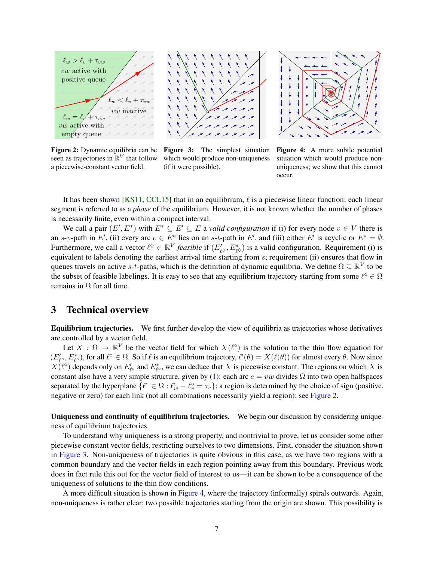<span id="page-6-1"></span>

Figure 2: Dynamic equilibria can be seen as trajectories in  $\mathbb{R}^V$  that follow a piecewise-constant vector field.

Figure 3: The simplest situation which would produce non-uniqueness (if it were possible).



Figure 4: A more subtle potential situation which would produce nonuniqueness; we show that this cannot occur.

It has been shown [\[KS11,](#page-24-12) [CCL15\]](#page-23-1) that in an equilibrium,  $\ell$  is a piecewise linear function; each linear segment is referred to as a *phase* of the equilibrium. However, it is not known whether the number of phases is necessarily finite, even within a compact interval.

We call a pair  $(E', E^*)$  with  $E^* \subseteq E' \subseteq E$  a *valid configuration* if (i) for every node  $v \in V$  there is an s-v-path in E', (ii) every arc  $e \in E^*$  lies on an s-t-path in E', and (iii) either E' is acyclic or  $E^* = \emptyset$ . Furthermore, we call a vector  $\ell^{\lozenge} \in \mathbb{R}^V$  *feasible* if  $(E'_{\ell^{\lozenge}}, E^*_{\ell^{\lozenge}})$  is a valid configuration. Requirement (i) is equivalent to labels denoting the earliest arrival time starting from s; requirement (ii) ensures that flow in queues travels on active s-t-paths, which is the definition of dynamic equilibria. We define  $\Omega \subseteq \mathbb{R}^V$  to be the subset of feasible labelings. It is easy to see that any equilibrium trajectory starting from some  $\ell^{\circ} \in \Omega$ remains in  $Ω$  for all time.

#### <span id="page-6-0"></span>3 Technical overview

Equilibrium trajectories. We first further develop the view of equilibria as trajectories whose derivatives are controlled by a vector field.

Let  $X : \Omega \to \mathbb{R}^V$  be the vector field for which  $X(\ell^{\circ})$  is the solution to the thin flow equation for  $(E'_{\ell}, E^*_{\ell})$ , for all  $\ell^{\circ} \in \Omega$ . So if  $\ell$  is an equilibrium trajectory,  $\ell'(\theta) = X(\ell(\theta))$  for almost every  $\theta$ . Now since  $X(\ell^{\circ})$  depends only on  $E'_{\ell^{\circ}}$  and  $E^*_{\ell^{\circ}}$ , we can deduce that X is piecewise constant. The regions on which X is constant also have a very simple structure, given by [\(1\)](#page-5-0): each arc  $e = vw$  divides  $\Omega$  into two open halfspaces separated by the hyperplane  $\{\ell^{\circ} \in \Omega : \ell^{\circ}_w - \ell^{\circ}_v = \tau_e\}$ ; a region is determined by the choice of sign (positive, negative or zero) for each link (not all combinations necessarily yield a region); see [Figure 2.](#page-6-1)

Uniqueness and continuity of equilibrium trajectories. We begin our discussion by considering uniqueness of equilibrium trajectories.

To understand why uniqueness is a strong property, and nontrivial to prove, let us consider some other piecewise constant vector fields, restricting ourselves to two dimensions. First, consider the situation shown in [Figure 3.](#page-6-1) Non-uniqueness of trajectories is quite obvious in this case, as we have two regions with a common boundary and the vector fields in each region pointing away from this boundary. Previous work does in fact rule this out for the vector field of interest to us—it can be shown to be a consequence of the uniqueness of solutions to the thin flow conditions.

A more difficult situation is shown in [Figure 4,](#page-6-1) where the trajectory (informally) spirals outwards. Again, non-uniqueness is rather clear; two possible trajectories starting from the origin are shown. This possibility is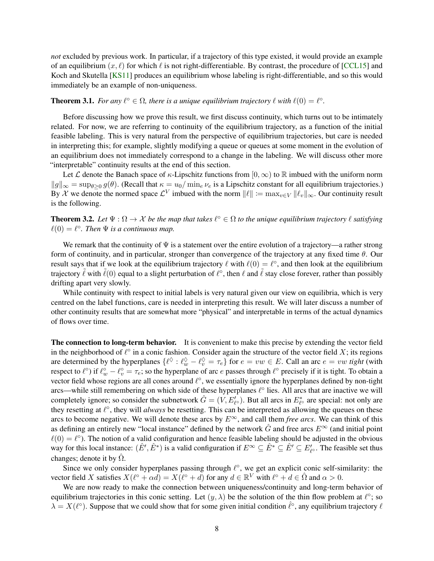*not* excluded by previous work. In particular, if a trajectory of this type existed, it would provide an example of an equilibrium  $(x, \ell)$  for which  $\ell$  is not right-differentiable. By contrast, the procedure of [\[CCL15\]](#page-23-1) and Koch and Skutella [\[KS11\]](#page-24-12) produces an equilibrium whose labeling is right-differentiable, and so this would immediately be an example of non-uniqueness.

### <span id="page-7-0"></span>**Theorem 3.1.** For any  $\ell^{\circ} \in \Omega$ , there is a unique equilibrium trajectory  $\ell$  with  $\ell(0) = \ell^{\circ}$ .

Before discussing how we prove this result, we first discuss continuity, which turns out to be intimately related. For now, we are referring to continuity of the equilibrium trajectory, as a function of the initial feasible labeling. This is very natural from the perspective of equilibrium trajectories, but care is needed in interpreting this; for example, slightly modifying a queue or queues at some moment in the evolution of an equilibrium does not immediately correspond to a change in the labeling. We will discuss other more "interpretable" continuity results at the end of this section.

Let L denote the Banach space of  $\kappa$ -Lipschitz functions from  $[0,\infty)$  to R imbued with the uniform norm  $||g||_{\infty} = \sup_{\theta \ge 0} g(\theta)$ . (Recall that  $\kappa = u_0/\min_e \nu_e$  is a Lipschitz constant for all equilibrium trajectories.) By X we denote the normed space  $\mathcal{L}^V$  imbued with the norm  $\|\ell\| := \max_{v \in V} \|\ell_v\|_\infty$ . Our continuity result is the following.

<span id="page-7-1"></span>**Theorem 3.2.** Let  $\Psi : \Omega \to \mathcal{X}$  be the map that takes  $\ell^{\circ} \in \Omega$  to the unique equilibrium trajectory  $\ell$  satisfying  $\ell(0) = \ell^{\circ}$ . Then  $\Psi$  *is a continuous map.* 

We remark that the continuity of  $\Psi$  is a statement over the entire evolution of a trajectory—a rather strong form of continuity, and in particular, stronger than convergence of the trajectory at any fixed time  $\theta$ . Our result says that if we look at the equilibrium trajectory  $\ell$  with  $\ell(0) = \ell^{\circ}$ , and then look at the equilibrium trajectory  $\tilde{\ell}$  with  $\tilde{\ell}(0)$  equal to a slight perturbation of  $\ell^{\circ}$ , then  $\ell$  and  $\tilde{\ell}$  stay close forever, rather than possibly drifting apart very slowly.

While continuity with respect to initial labels is very natural given our view on equilibria, which is very centred on the label functions, care is needed in interpreting this result. We will later discuss a number of other continuity results that are somewhat more "physical" and interpretable in terms of the actual dynamics of flows over time.

The connection to long-term behavior. It is convenient to make this precise by extending the vector field in the neighborhood of  $\ell^{\circ}$  in a conic fashion. Consider again the structure of the vector field X; its regions are determined by the hyperplanes  $\{\ell^{\Diamond} : \ell^{\Diamond}_w - \ell^{\Diamond}_v = \tau_e\}$  for  $e = vw \in E$ . Call an arc  $e = vw$  *tight* (with respect to  $\ell^{\circ}$ ) if  $\ell^{\circ}_w - \ell^{\circ}_v = \tau_e$ ; so the hyperplane of arc *e* passes through  $\ell^{\circ}$  precisely if it is tight. To obtain a vector field whose regions are all cones around  $\ell^{\circ}$ , we essentially ignore the hyperplanes defined by non-tight arcs—while still remembering on which side of these hyperplanes  $\ell^\circ$  lies. All arcs that are inactive we will completely ignore; so consider the subnetwork  $\hat{G} = (V, E'_{\ell^{\circ}})$ . But all arcs in  $E^*_{\ell^{\circ}}$  are special: not only are they resetting at  $\ell^{\circ}$ , they will *always* be resetting. This can be interpreted as allowing the queues on these arcs to become negative. We will denote these arcs by  $E^{\infty}$ , and call them *free arcs*. We can think of this as defining an entirely new "local instance" defined by the network  $\hat{G}$  and free arcs  $E^{\infty}$  (and initial point  $\ell(0) = \ell^{\circ}$ ). The notion of a valid configuration and hence feasible labeling should be adjusted in the obvious way for this local instance:  $(\hat{E}', \hat{E}^*)$  is a valid configuration if  $E^{\infty} \subseteq \hat{E}^* \subseteq \hat{E}' \subseteq E'_{\ell}$ . The feasible set thus changes; denote it by  $\hat{\Omega}$ .

Since we only consider hyperplanes passing through  $\ell^{\circ}$ , we get an explicit conic self-similarity: the vector field X satisfies  $X(\ell^{\circ} + \alpha d) = X(\ell^{\circ} + d)$  for any  $d \in \mathbb{R}^V$  with  $\ell^{\circ} + d \in \hat{\Omega}$  and  $\alpha > 0$ .

We are now ready to make the connection between uniqueness/continuity and long-term behavior of equilibrium trajectories in this conic setting. Let  $(y, \lambda)$  be the solution of the thin flow problem at  $\ell^{\circ}$ ; so  $\lambda = X(\ell^{\circ})$ . Suppose that we could show that for some given initial condition  $\hat{\ell}^{\circ}$ , any equilibrium trajectory  $\ell$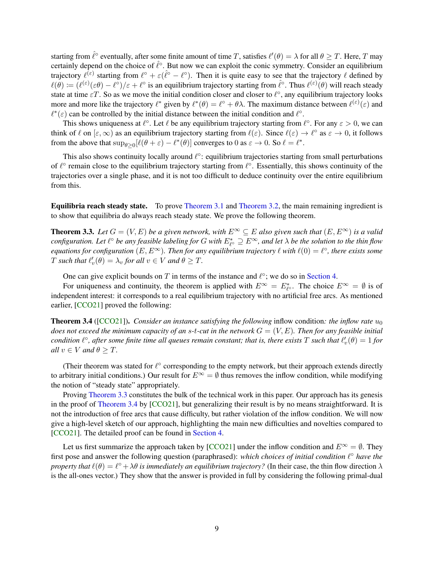starting from  $\hat{\ell}^{\circ}$  eventually, after some finite amount of time T, satisfies  $\ell'(\theta) = \lambda$  for all  $\theta \geq T$ . Here, T may certainly depend on the choice of  $\hat{\ell}^{\circ}$ . But now we can exploit the conic symmetry. Consider an equilibrium trajectory  $\ell^{(\varepsilon)}$  starting from  $\ell^{\circ} + \varepsilon(\ell^{\circ} - \ell^{\circ})$ . Then it is quite easy to see that the trajectory  $\ell$  defined by  $\ell(\theta) := (\ell^{(\varepsilon)}(\varepsilon\theta) - \ell^{\circ})/\varepsilon + \ell^{\circ}$  is an equilibrium trajectory starting from  $\hat{\ell}^{\circ}$ . Thus  $\ell^{(\varepsilon)}(\theta)$  will reach steady state at time  $\epsilon T$ . So as we move the initial condition closer and closer to  $\ell^{\circ}$ , any equilibrium trajectory looks more and more like the trajectory  $\ell^*$  given by  $\ell^*(\theta) = \ell^{\circ} + \theta \lambda$ . The maximum distance between  $\ell^{(\varepsilon)}(\varepsilon)$  and  $\ell^*(\varepsilon)$  can be controlled by the initial distance between the initial condition and  $\ell^{\circ}$ .

This shows uniqueness at  $\ell^{\circ}$ . Let  $\ell$  be any equilibrium trajectory starting from  $\ell^{\circ}$ . For any  $\varepsilon > 0$ , we can think of  $\ell$  on  $[\varepsilon, \infty)$  as an equilibrium trajectory starting from  $\ell(\varepsilon)$ . Since  $\ell(\varepsilon) \to \ell^{\circ}$  as  $\varepsilon \to 0$ , it follows from the above that  $\sup_{\theta \ge 0} [\ell(\theta + \varepsilon) - \ell^*(\theta)]$  converges to 0 as  $\varepsilon \to 0$ . So  $\ell = \ell^*$ .

This also shows continuity locally around  $\ell^\circ$ : equilibrium trajectories starting from small perturbations of  $\ell^{\circ}$  remain close to the equilibrium trajectory starting from  $\ell^{\circ}$ . Essentially, this shows continuity of the trajectories over a single phase, and it is not too difficult to deduce continuity over the entire equilibrium from this.

Equilibria reach steady state. To prove [Theorem 3.1](#page-7-0) and [Theorem 3.2,](#page-7-1) the main remaining ingredient is to show that equilibria do always reach steady state. We prove the following theorem.

<span id="page-8-0"></span>**Theorem 3.3.** *Let*  $G = (V, E)$  *be a given network, with*  $E^{\infty} \subseteq E$  *also given such that*  $(E, E^{\infty})$  *is a valid* configuration. Let  $\ell^\circ$  be any feasible labeling for G with  $E_{\ell^\circ}^*\supseteq E^\infty$ , and let  $\lambda$  be the solution to the thin flow *equations for configuration*  $(E, E^{\infty})$ . Then for any equilibrium trajectory  $\ell$  with  $\ell(0) = \ell^{\circ}$ , there exists some T such that  $\ell_v'(\theta) = \lambda_v$  for all  $v \in V$  and  $\theta \geq T$ .

One can give explicit bounds on T in terms of the instance and  $\ell^{\circ}$ ; we do so in [Section 4.](#page-11-0)

For uniqueness and continuity, the theorem is applied with  $E^{\infty} = E^*_{\ell^{\circ}}$ . The choice  $E^{\infty} = \emptyset$  is of independent interest: it corresponds to a real equilibrium trajectory with no artificial free arcs. As mentioned earlier, [\[CCO21\]](#page-24-0) proved the following:

<span id="page-8-1"></span>**Theorem 3.4** ([\[CCO21\]](#page-24-0)). *Consider an instance satisfying the following* inflow condition: *the inflow rate*  $u_0$ *does not exceed the minimum capacity of an s-t-cut in the network*  $G = (V, E)$ *. Then for any feasible initial*  $i$  *condition*  $\ell^{\circ}$ *, after some finite time all queues remain constant; that is, there exists*  $T$  *such that*  $\ell'_v(\theta) = 1$  *for all*  $v \in V$  *and*  $\theta \geq T$ *.* 

(Their theorem was stated for  $\ell^{\circ}$  corresponding to the empty network, but their approach extends directly to arbitrary initial conditions.) Our result for  $E^{\infty} = \emptyset$  thus removes the inflow condition, while modifying the notion of "steady state" appropriately.

Proving [Theorem 3.3](#page-8-0) constitutes the bulk of the technical work in this paper. Our approach has its genesis in the proof of [Theorem 3.4](#page-8-1) by [\[CCO21\]](#page-24-0), but generalizing their result is by no means straightforward. It is not the introduction of free arcs that cause difficulty, but rather violation of the inflow condition. We will now give a high-level sketch of our approach, highlighting the main new difficulties and novelties compared to [\[CCO21\]](#page-24-0). The detailed proof can be found in [Section 4.](#page-11-0)

Let us first summarize the approach taken by [\[CCO21\]](#page-24-0) under the inflow condition and  $E^{\infty} = \emptyset$ . They first pose and answer the following question (paraphrased): *which choices of initial condition*  $l^{\circ}$  have the *property that*  $\ell(\theta) = \ell^{\circ} + \lambda \theta$  *is immediately an equilibrium trajectory?* (In their case, the thin flow direction  $\lambda$ is the all-ones vector.) They show that the answer is provided in full by considering the following primal-dual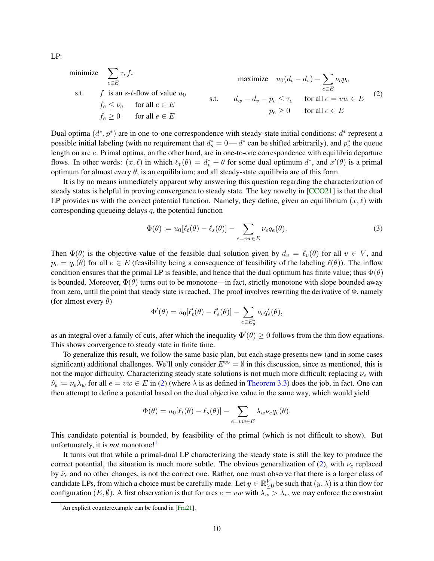<span id="page-9-0"></span>minimize 
$$
\sum_{e \in E} \tau_e f_e
$$
  
\ns.t.  $f$  is an  $s$ - $t$ -flow of value  $u_0$   
\n $f_e \leq \nu_e$  for all  $e \in E$   
\n $f_e \geq 0$  for all  $e \in E$   
\n $f_e \geq 0$  for all  $e \in E$   
\n $f_e \geq 0$  for all  $e \in E$   
\n $f_e \geq 0$  for all  $e \in E$ 

Dual optima  $(d^*, p^*)$  are in one-to-one correspondence with steady-state initial conditions:  $d^*$  represent a possible initial labeling (with no requirement that  $d_s^* = 0 - d^*$  can be shifted arbitrarily), and  $p_e^*$  the queue length on arc e. Primal optima, on the other hand, are in one-to-one correspondence with equilibria departure flows. In other words:  $(x, \ell)$  in which  $\ell_v(\theta) = d_v^* + \theta$  for some dual optimum  $d^*$ , and  $x'(\theta)$  is a primal optimum for almost every  $\theta$ , is an equilibrium; and all steady-state equilibria are of this form.

It is by no means immediately apparent why answering this question regarding the characterization of steady states is helpful in proving convergence to steady state. The key novelty in [\[CCO21\]](#page-24-0) is that the dual LP provides us with the correct potential function. Namely, they define, given an equilibrium  $(x, \ell)$  with corresponding queueing delays  $q$ , the potential function

<span id="page-9-2"></span>
$$
\Phi(\theta) \coloneqq u_0[\ell_t(\theta) - \ell_s(\theta)] - \sum_{e = vw \in E} \nu_e q_e(\theta). \tag{3}
$$

Then  $\Phi(\theta)$  is the objective value of the feasible dual solution given by  $d_v = \ell_v(\theta)$  for all  $v \in V$ , and  $p_e = q_e(\theta)$  for all  $e \in E$  (feasibility being a consequence of feasibility of the labeling  $\ell(\theta)$ ). The inflow condition ensures that the primal LP is feasible, and hence that the dual optimum has finite value; thus  $\Phi(\theta)$ is bounded. Moreover,  $\Phi(\theta)$  turns out to be monotone—in fact, strictly monotone with slope bounded away from zero, until the point that steady state is reached. The proof involves rewriting the derivative of  $\Phi$ , namely (for almost every  $\theta$ )

$$
\Phi'(\theta) = u_0[\ell_t'(\theta) - \ell_s'(\theta)] - \sum_{e \in E_{\theta}^*} \nu_e q_e'(\theta),
$$

as an integral over a family of cuts, after which the inequality  $\Phi'(\theta) \ge 0$  follows from the thin flow equations. This shows convergence to steady state in finite time.

To generalize this result, we follow the same basic plan, but each stage presents new (and in some cases significant) additional challenges. We'll only consider  $E^{\infty} = \emptyset$  in this discussion, since as mentioned, this is not the major difficulty. Characterizing steady state solutions is not much more difficult; replacing  $\nu_e$  with  $\hat{\nu}_e := \nu_e \lambda_w$  for all  $e = vw \in E$  in [\(2\)](#page-9-0) (where  $\lambda$  is as defined in [Theorem 3.3\)](#page-8-0) does the job, in fact. One can then attempt to define a potential based on the dual objective value in the same way, which would yield

$$
\Phi(\theta) = u_0[\ell_t(\theta) - \ell_s(\theta)] - \sum_{e=vw \in E} \lambda_w \nu_e q_e(\theta).
$$

This candidate potential is bounded, by feasibility of the primal (which is not difficult to show). But unfortunately, it is *not* monotone!<sup>[1](#page-9-1)</sup>

It turns out that while a primal-dual LP characterizing the steady state is still the key to produce the correct potential, the situation is much more subtle. The obvious generalization of [\(2\)](#page-9-0), with  $\nu_e$  replaced by  $\hat{\nu}_e$  and no other changes, is not the correct one. Rather, one must observe that there is a larger class of candidate LPs, from which a choice must be carefully made. Let  $y \in \mathbb{R}_{\geq 0}^V$  be such that  $(y, \lambda)$  is a thin flow for configuration  $(E, \emptyset)$ . A first observation is that for arcs  $e = vw$  with  $\lambda_w > \lambda_v$ , we may enforce the constraint

LP:

<span id="page-9-1"></span><sup>&</sup>lt;sup>1</sup>An explicit counterexample can be found in [\[Fra21\]](#page-24-15).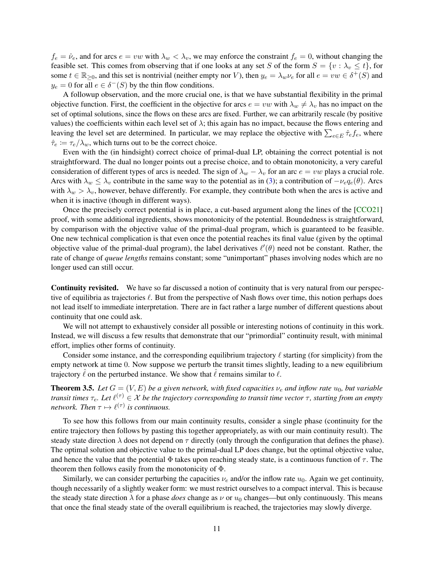$f_e = \hat{\nu}_e$ , and for arcs  $e = vw$  with  $\lambda_w < \lambda_v$ , we may enforce the constraint  $f_e = 0$ , without changing the feasible set. This comes from observing that if one looks at any set S of the form  $S = \{v : \lambda_v \le t\}$ , for some  $t \in \mathbb{R}_{\geq 0}$ , and this set is nontrivial (neither empty nor V), then  $y_e = \lambda_w \nu_e$  for all  $e = vw \in \delta^+(S)$  and  $y_e = 0$  for all  $e \in \delta^-(S)$  by the thin flow conditions.

A followup observation, and the more crucial one, is that we have substantial flexibility in the primal objective function. First, the coefficient in the objective for arcs  $e = vw$  with  $\lambda_w \neq \lambda_v$  has no impact on the set of optimal solutions, since the flows on these arcs are fixed. Further, we can arbitrarily rescale (by positive values) the coefficients within each level set of  $\lambda$ ; this again has no impact, because the flows entering and leaving the level set are determined. In particular, we may replace the objective with  $\sum_{e \in E} \hat{\tau}_e f_e$ , where  $\hat{\tau}_e := \tau_e / \lambda_w$ , which turns out to be the correct choice.

Even with the (in hindsight) correct choice of primal-dual LP, obtaining the correct potential is not straightforward. The dual no longer points out a precise choice, and to obtain monotonicity, a very careful consideration of different types of arcs is needed. The sign of  $\lambda_w - \lambda_v$  for an arc  $e = vw$  plays a crucial role. Arcs with  $\lambda_w \leq \lambda_v$  contribute in the same way to the potential as in [\(3\)](#page-9-2); a contribution of  $-\nu_e q_e(\theta)$ . Arcs with  $\lambda_w > \lambda_v$ , however, behave differently. For example, they contribute both when the arcs is active and when it is inactive (though in different ways).

Once the precisely correct potential is in place, a cut-based argument along the lines of the [\[CCO21\]](#page-24-0) proof, with some additional ingredients, shows monotonicity of the potential. Boundedness is straightforward, by comparison with the objective value of the primal-dual program, which is guaranteed to be feasible. One new technical complication is that even once the potential reaches its final value (given by the optimal objective value of the primal-dual program), the label derivatives  $\ell'(\theta)$  need not be constant. Rather, the rate of change of *queue lengths* remains constant; some "unimportant" phases involving nodes which are no longer used can still occur.

Continuity revisited. We have so far discussed a notion of continuity that is very natural from our perspective of equilibria as trajectories  $\ell$ . But from the perspective of Nash flows over time, this notion perhaps does not lead itself to immediate interpretation. There are in fact rather a large number of different questions about continuity that one could ask.

We will not attempt to exhaustively consider all possible or interesting notions of continuity in this work. Instead, we will discuss a few results that demonstrate that our "primordial" continuity result, with minimal effort, implies other forms of continuity.

Consider some instance, and the corresponding equilibrium trajectory  $\ell$  starting (for simplicity) from the empty network at time 0. Now suppose we perturb the transit times slightly, leading to a new equilibrium trajectory  $\ell$  on the perturbed instance. We show that  $\ell$  remains similar to  $\ell$ .

<span id="page-10-0"></span>**Theorem 3.5.** *Let*  $G = (V, E)$  *be a given network, with fixed capacities*  $\nu_e$  *and inflow rate*  $u_0$ *, but variable transit times*  $\tau_e$ . Let  $\ell^{(\tau)} \in X$  be the trajectory corresponding to transit time vector  $\tau$ , starting from an empty *network. Then*  $\tau \mapsto \ell^{(\tau)}$  *is continuous.* 

To see how this follows from our main continuity results, consider a single phase (continuity for the entire trajectory then follows by pasting this together appropriately, as with our main continuity result). The steady state direction  $\lambda$  does not depend on  $\tau$  directly (only through the configuration that defines the phase). The optimal solution and objective value to the primal-dual LP does change, but the optimal objective value, and hence the value that the potential  $\Phi$  takes upon reaching steady state, is a continuous function of  $\tau$ . The theorem then follows easily from the monotonicity of  $\Phi$ .

Similarly, we can consider perturbing the capacities  $\nu_e$  and/or the inflow rate  $u_0$ . Again we get continuity, though necessarily of a slightly weaker form: we must restrict ourselves to a compact interval. This is because the steady state direction  $\lambda$  for a phase *does* change as  $\nu$  or  $u_0$  changes—but only continuously. This means that once the final steady state of the overall equilibrium is reached, the trajectories may slowly diverge.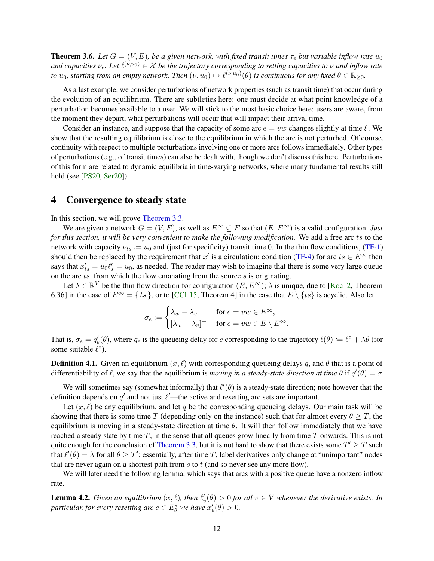**Theorem 3.6.** *Let*  $G = (V, E)$ *, be a given network, with fixed transit times*  $\tau_e$  *but variable inflow rate*  $u_0$ and capacities  $v_e$ . Let  $\ell^{(\nu,u_0)} \in X$  be the trajectory corresponding to setting capacities to  $\nu$  and inflow rate *to*  $u_0$ , starting from an empty network. Then  $(\nu, u_0) \mapsto \ell^{(\nu, u_0)}(\theta)$  is continuous for any fixed  $\theta \in \mathbb{R}_{\geq 0}$ .

As a last example, we consider perturbations of network properties (such as transit time) that occur during the evolution of an equilibrium. There are subtleties here: one must decide at what point knowledge of a perturbation becomes available to a user. We will stick to the most basic choice here: users are aware, from the moment they depart, what perturbations will occur that will impact their arrival time.

Consider an instance, and suppose that the capacity of some arc  $e = vw$  changes slightly at time  $\xi$ . We show that the resulting equilibrium is close to the equilibrium in which the arc is not perturbed. Of course, continuity with respect to multiple perturbations involving one or more arcs follows immediately. Other types of perturbations (e.g., of transit times) can also be dealt with, though we don't discuss this here. Perturbations of this form are related to dynamic equilibria in time-varying networks, where many fundamental results still hold (see [\[PS20,](#page-24-16) [Ser20\]](#page-24-3)).

### <span id="page-11-0"></span>4 Convergence to steady state

In this section, we will prove [Theorem 3.3.](#page-8-0)

We are given a network  $G = (V, E)$ , as well as  $E^{\infty} \subseteq E$  so that  $(E, E^{\infty})$  is a valid configuration. *Just for this section, it will be very convenient to make the following modification.* We add a free arc ts to the network with capacity  $\nu_{ts} := u_0$  and (just for specificity) transit time 0. In the thin flow conditions, [\(TF-1\)](#page-5-1) should then be replaced by the requirement that  $x'$  is a circulation; condition [\(TF-4\)](#page-5-2) for arc  $ts \in E^{\infty}$  then says that  $x_{ts}' = u_0 \ell_s' = u_0$ , as needed. The reader may wish to imagine that there is some very large queue on the arc  $ts$ , from which the flow emanating from the source  $s$  is originating.

Let  $\lambda \in \mathbb{R}^V$  be the thin flow direction for configuration  $(E, E^{\infty})$ ;  $\lambda$  is unique, due to [\[Koc12,](#page-24-13) Theorem 6.36] in the case of  $E^{\infty} = \{ts\}$ , or to [\[CCL15,](#page-23-1) Theorem 4] in the case that  $E \setminus \{ts\}$  is acyclic. Also let

$$
\sigma_e := \begin{cases} \lambda_w - \lambda_v & \text{for } e = vw \in E^\infty, \\ [\lambda_w - \lambda_v]^+ & \text{for } e = vw \in E \setminus E^\infty. \end{cases}
$$

That is,  $\sigma_e = q'_e(\theta)$ , where  $q_e$  is the queueing delay for e corresponding to the trajectory  $\ell(\theta) := \ell^{\circ} + \lambda \theta$  (for some suitable  $\ell^{\circ}$ ).

**Definition 4.1.** Given an equilibrium  $(x, \ell)$  with corresponding queueing delays q, and  $\theta$  that is a point of differentiability of  $\ell$ , we say that the equilibrium is *moving in a steady-state direction at time*  $\theta$  if  $q'(\theta) = \sigma$ .

We will sometimes say (somewhat informally) that  $\ell'(\theta)$  is a steady-state direction; note however that the definition depends on  $q'$  and not just  $\ell'$ —the active and resetting arc sets are important.

Let  $(x, \ell)$  be any equilibrium, and let q be the corresponding queueing delays. Our main task will be showing that there is some time T (depending only on the instance) such that for almost every  $\theta \geq T$ , the equilibrium is moving in a steady-state direction at time  $\theta$ . It will then follow immediately that we have reached a steady state by time  $T$ , in the sense that all queues grow linearly from time  $T$  onwards. This is not quite enough for the conclusion of [Theorem 3.3,](#page-8-0) but it is not hard to show that there exists some  $T' \geq T$  such that  $\ell'(\theta) = \lambda$  for all  $\theta \geq T'$ ; essentially, after time T, label derivatives only change at "unimportant" nodes that are never again on a shortest path from  $s$  to  $t$  (and so never see any more flow).

We will later need the following lemma, which says that arcs with a positive queue have a nonzero inflow rate.

<span id="page-11-1"></span>**Lemma 4.2.** Given an equilibrium  $(x, \ell)$ , then  $\ell'_v(\theta) > 0$  for all  $v \in V$  whenever the derivative exists. In *particular, for every resetting arc*  $e \in E^*_\theta$  *we have*  $x'_e(\theta) > 0$ *.*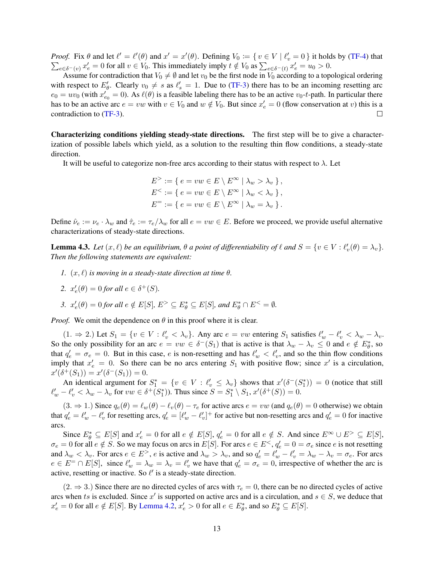*Proof.* Fix  $\theta$  and let  $\ell' = \ell'(\theta)$  and  $x' = x'(\theta)$ . Defining  $V_0 := \{ v \in V \mid \ell'_v = 0 \}$  it holds by [\(TF-4\)](#page-5-2) that  $\sum_{e \in \delta^{-1}(v)} x'_e = 0$  for all  $v \in V_0$ . This immediately imply  $t \notin V_0$  as  $\sum_{e \in \delta^{-1}(v)} x'_e = u_0 > 0$ .  $e \in \delta^-(v)} x'_e = 0$  for all  $v \in V_0$ . This immediately imply  $t \notin V_0$  as  $\sum_{e \in \delta^-(t)} x'_e = u_0 > 0$ .

Assume for contradiction that  $V_0 \neq \emptyset$  and let  $v_0$  be the first node in  $V_0$  according to a topological ordering with respect to  $E'_\theta$ . Clearly  $v_0 \neq s$  as  $\ell'_s = 1$ . Due to [\(TF-3\)](#page-5-3) there has to be an incoming resetting arc  $e_0 = uv_0$  (with  $x'_{e_0} = 0$ ). As  $\ell(\theta)$  is a feasible labeling there has to be an active  $v_0$ -*t*-path. In particular there has to be an active arc  $e = vw$  with  $v \in V_0$  and  $w \notin V_0$ . But since  $x'_e = 0$  (flow conservation at v) this is a contradiction to [\(TF-3\)](#page-5-3).

Characterizing conditions yielding steady-state directions. The first step will be to give a characterization of possible labels which yield, as a solution to the resulting thin flow conditions, a steady-state direction.

It will be useful to categorize non-free arcs according to their status with respect to  $\lambda$ . Let

$$
E^> := \{ e = vw \in E \setminus E^{\infty} \mid \lambda_w > \lambda_v \},
$$
  
\n
$$
E^< := \{ e = vw \in E \setminus E^{\infty} \mid \lambda_w < \lambda_v \},
$$
  
\n
$$
E^- := \{ e = vw \in E \setminus E^{\infty} \mid \lambda_w = \lambda_v \}.
$$

Define  $\hat{\nu}_e := \nu_e \cdot \lambda_w$  and  $\hat{\tau}_e := \tau_e/\lambda_w$  for all  $e = vw \in E$ . Before we proceed, we provide useful alternative characterizations of steady-state directions.

<span id="page-12-0"></span>**Lemma 4.3.** Let  $(x, \ell)$  be an equilibrium,  $\theta$  a point of differentiability of  $\ell$  and  $S = \{v \in V : \ell'_v(\theta) = \lambda_v\}$ . *Then the following statements are equivalent:*

*1.*  $(x, \ell)$  *is moving in a steady-state direction at time*  $\theta$ *.* 

2. 
$$
x'_e(\theta) = 0
$$
 for all  $e \in \delta^+(S)$ .

3. 
$$
x'_e(\theta) = 0
$$
 for all  $e \notin E[S], E^> \subseteq E^*_{\theta} \subseteq E[S]$ , and  $E^*_{\theta} \cap E^< = \emptyset$ .

*Proof.* We omit the dependence on  $\theta$  in this proof where it is clear.

 $(1. \Rightarrow 2.)$  Let  $S_1 = \{v \in V : \ell_v' < \lambda_v\}$ . Any arc  $e = vw$  entering  $S_1$  satisfies  $\ell_w' - \ell_v' < \lambda_w - \lambda_v$ . So the only possibility for an arc  $e = vw \in \delta^-(S_1)$  that is active is that  $\lambda_w - \lambda_v \leq 0$  and  $e \notin E^*_\theta$ , so that  $q'_e = \sigma_e = 0$ . But in this case, e is non-resetting and has  $\ell'_w < \ell'_v$ , and so the thin flow conditions imply that  $x'_e = 0$ . So there can be no arcs entering  $S_1$  with positive flow; since  $x'$  is a circulation,  $x'(\delta^+(S_1)) = x'(\delta^-(S_1)) = 0.$ 

An identical argument for  $S_1^* = \{v \in V : \ell_v' \leq \lambda_v\}$  shows that  $x'(\delta^-(S_1^*)) = 0$  (notice that still  $\ell'_w - \ell'_v < \lambda_w - \lambda_v$  for  $vw \in \delta^+(S_1^*)$ ). Thus since  $S = S_1^* \setminus S_1$ ,  $x'(\delta^+(S)) = 0$ .

 $(3. \Rightarrow 1.)$  Since  $q_e(\theta) = \ell_w(\theta) - \ell_v(\theta) - \tau_e$  for active arcs  $e = vw$  (and  $q_e(\theta) = 0$  otherwise) we obtain that  $q'_e = \ell'_w - \ell'_v$  for resetting arcs,  $q'_e = [\ell'_w - \ell'_v]^+$  for active but non-resetting arcs and  $q'_e = 0$  for inactive arcs.

Since  $E_{\theta}^* \subseteq E[S]$  and  $x_e' = 0$  for all  $e \notin E[S], q_e' = 0$  for all  $e \notin S$ . And since  $E^{\infty} \cup E^> \subseteq E[S],$  $\sigma_e = 0$  for all  $e \notin S$ . So we may focus on arcs in  $E[S]$ . For arcs  $e \in E^{\leq}$ ,  $q'_e = 0 = \sigma_e$  since  $e$  is not resetting and  $\lambda_w < \lambda_v$ . For arcs  $e \in E^>$ , e is active and  $\lambda_w > \lambda_v$ , and so  $q'_e = \ell'_w - \ell'_v = \lambda_w - \lambda_v = \sigma_e$ . For arcs  $e \in E^- \cap E[S]$ , since  $\ell'_w = \lambda_w = \lambda_v = \ell'_v$  we have that  $q'_e = \sigma_e = 0$ , irrespective of whether the arc is active, resetting or inactive. So  $\ell'$  is a steady-state direction.

 $(2. \Rightarrow 3.)$  Since there are no directed cycles of arcs with  $\tau_e = 0$ , there can be no directed cycles of active arcs when ts is excluded. Since x' is supported on active arcs and is a circulation, and  $s \in S$ , we deduce that  $x'_e = 0$  for all  $e \notin E[S]$ . By [Lemma 4.2,](#page-11-1)  $x'_e > 0$  for all  $e \in E^*_\theta$ , and so  $E^*_\theta \subseteq E[S]$ .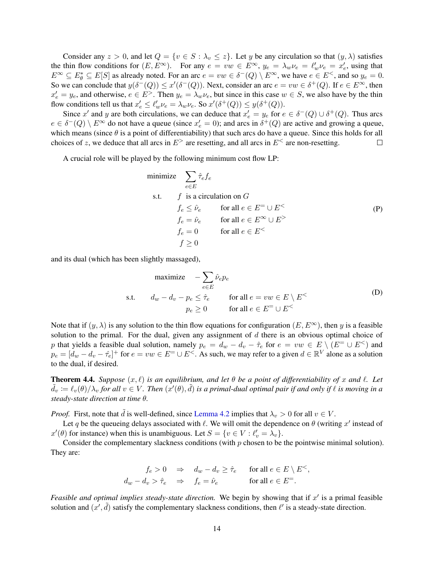Consider any  $z > 0$ , and let  $Q = \{v \in S : \lambda_v \leq z\}$ . Let y be any circulation so that  $(y, \lambda)$  satisfies the thin flow conditions for  $(E, E^{\infty})$ . For any  $e = vw \in E^{\infty}$ ,  $y_e = \lambda_w \nu_e = \ell'_w \nu_e = x'_e$ , using that  $E^{\infty} \subseteq E_{\theta}^{*} \subseteq E[S]$  as already noted. For an arc  $e = vw \in \delta^{-}(Q) \setminus E^{\infty}$ , we have  $e \in E^{<}$ , and so  $y_e = 0$ . So we can conclude that  $y(\delta^-(Q)) \leq x'(\delta^-(Q))$ . Next, consider an arc  $e = vw \in \delta^+(Q)$ . If  $e \in E^{\infty}$ , then  $x'_e = y_e$ , and otherwise,  $e \in E^>$ . Then  $y_e = \lambda_w \nu_e$ , but since in this case  $w \in S$ , we also have by the thin flow conditions tell us that  $x'_e \leq \ell'_w \nu_e = \lambda_w \nu_e$ . So  $x'(\delta^+(Q)) \leq y(\delta^+(Q))$ .

Since x' and y are both circulations, we can deduce that  $x'_e = y_e$  for  $e \in \delta^-(Q) \cup \delta^+(Q)$ . Thus arcs  $e \in \delta^-(Q) \setminus E^{\infty}$  do not have a queue (since  $x'_e = 0$ ); and arcs in  $\delta^+(Q)$  are active and growing a queue, which means (since  $\theta$  is a point of differentiability) that such arcs do have a queue. Since this holds for all choices of z, we deduce that all arcs in  $E^>$  are resetting, and all arcs in  $E^<$  are non-resetting.  $\Box$ 

A crucial role will be played by the following minimum cost flow LP:

<span id="page-13-1"></span>minimize 
$$
\sum_{e \in E} \hat{\tau}_e f_e
$$
  
s.t.  $f$  is a circulation on  $G$   
 $f_e \leq \hat{\nu}_e$  for all  $e \in E^= \cup E^<$   
 $f_e = \hat{\nu}_e$  for all  $e \in E^\infty \cup E^>$   
 $f_e = 0$  for all  $e \in E^<$   
 $f \geq 0$ 

and its dual (which has been slightly massaged),

<span id="page-13-0"></span>maximize 
$$
-\sum_{e \in E} \hat{\nu}_e p_e
$$
  
s.t.  $d_w - d_v - p_e \leq \hat{\tau}_e$  for all  $e = vw \in E \setminus E^<$   
 $p_e \geq 0$  for all  $e \in E^= \cup E^<$  (D)

Note that if  $(y, \lambda)$  is any solution to the thin flow equations for configuration  $(E, E^{\infty})$ , then y is a feasible solution to the primal. For the dual, given any assignment of  $d$  there is an obvious optimal choice of p that yields a feasible dual solution, namely  $p_e = d_w - d_v - \hat{\tau}_e$  for  $e = vw \in E \setminus (E^- \cup E^<)$  and  $p_e = [d_w - d_v - \hat{\tau}_e]^+$  for  $e = vw \in E^- \cup E^<$ . As such, we may refer to a given  $d \in \mathbb{R}^V$  alone as a solution to the dual, if desired.

**Theorem 4.4.** *Suppose*  $(x, \ell)$  *is an equilibrium, and let*  $\theta$  *be a point of differentiability of* x and  $\ell$ . Let  $\tilde{d}_v := \ell_v(\theta)/\lambda_v$  for all  $v \in V$ . Then  $(x'(\theta), \tilde{d})$  is a primal-dual optimal pair if and only if  $\ell$  is moving in a *steady-state direction at time* θ*.*

*Proof.* First, note that  $\tilde{d}$  is well-defined, since [Lemma 4.2](#page-11-1) implies that  $\lambda_v > 0$  for all  $v \in V$ .

Let q be the queueing delays associated with  $\ell$ . We will omit the dependence on  $\theta$  (writing x' instead of  $x'(\theta)$  for instance) when this is unambiguous. Let  $S = \{v \in V : \ell'_v = \lambda_v\}.$ 

Consider the complementary slackness conditions (with  $p$  chosen to be the pointwise minimal solution). They are:

$$
f_e > 0 \Rightarrow d_w - d_v \ge \hat{\tau}_e \quad \text{for all } e \in E \setminus E^<,
$$
  

$$
d_w - d_v > \hat{\tau}_e \Rightarrow f_e = \hat{\nu}_e \quad \text{for all } e \in E^=.
$$

Feasible and optimal implies steady-state direction. We begin by showing that if  $x'$  is a primal feasible solution and  $(x', \tilde{d})$  satisfy the complementary slackness conditions, then  $\ell'$  is a steady-state direction.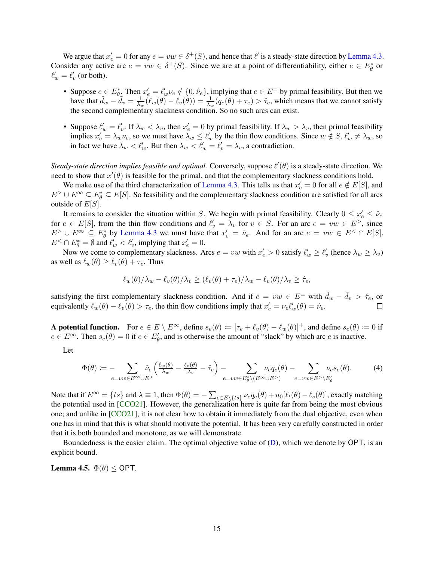We argue that  $x'_e = 0$  for any  $e = vw \in \delta^+(S)$ , and hence that  $\ell'$  is a steady-state direction by [Lemma 4.3.](#page-12-0) Consider any active arc  $e = vw \in \delta^+(S)$ . Since we are at a point of differentiability, either  $e \in E^*_\theta$  or  $\ell'_w = \ell'_v$  (or both).

- Suppose  $e \in E^*_{\theta}$ . Then  $x'_e = \ell'_w \nu_e \notin \{0, \hat{\nu}_e\}$ , implying that  $e \in E^=$  by primal feasibility. But then we have that  $\tilde{d}_w - \tilde{d}_v = \frac{1}{\lambda_u}$  $\frac{1}{\lambda_w}(\ell_w(\theta) - \ell_v(\theta)) = \frac{1}{\lambda_w}(q_e(\theta) + \tau_e) > \hat{\tau}_e$ , which means that we cannot satisfy the second complementary slackness condition. So no such arcs can exist.
- Suppose  $\ell'_w = \ell'_v$ . If  $\lambda_w < \lambda_v$ , then  $x'_e = 0$  by primal feasibility. If  $\lambda_w > \lambda_v$ , then primal feasibility implies  $x'_e = \lambda_w \nu_e$ , so we must have  $\lambda_w \leq \ell'_w$  by the thin flow conditions. Since  $w \notin S$ ,  $\ell'_w \neq \lambda_w$ , so in fact we have  $\lambda_w < \ell'_w$ . But then  $\lambda_w < \ell'_w = \ell'_v = \lambda_v$ , a contradiction.

*Steady-state direction implies feasible and optimal.* Conversely, suppose  $\ell'(\theta)$  is a steady-state direction. We need to show that  $x'(\theta)$  is feasible for the primal, and that the complementary slackness conditions hold.

We make use of the third characterization of [Lemma 4.3.](#page-12-0) This tells us that  $x'_e = 0$  for all  $e \notin E[S]$ , and  $E^> \cup E^{\infty} \subseteq E^*_{\theta} \subseteq E[S]$ . So feasibility and the complementary slackness condition are satisfied for all arcs outside of  $E[S]$ .

It remains to consider the situation within S. We begin with primal feasibility. Clearly  $0 \le x'_e \le \hat{\nu}_e$ for  $e \in E[S]$ , from the thin flow conditions and  $\ell'_v = \lambda_v$  for  $v \in S$ . For an arc  $e = vw \in E^>$ , since  $E^> \cup E^{\infty} \subseteq E^*_{\theta}$  by [Lemma 4.3](#page-12-0) we must have that  $x'_e = \hat{\nu}_e$ . And for an arc  $e = vw \in E^{\lt} \cap E[S],$  $E^< \cap E^*_{\theta} = \emptyset$  and  $\ell'_w < \ell'_v$ , implying that  $x'_e = 0$ .

Now we come to complementary slackness. Arcs  $e = vw$  with  $x'_e > 0$  satisfy  $\ell'_w \ge \ell'_v$  (hence  $\lambda_w \ge \lambda_v$ ) as well as  $\ell_w(\theta) \geq \ell_v(\theta) + \tau_e$ . Thus

$$
\ell_w(\theta)/\lambda_w - \ell_v(\theta)/\lambda_v \ge (\ell_v(\theta) + \tau_e)/\lambda_w - \ell_v(\theta)/\lambda_v \ge \hat{\tau}_e,
$$

satisfying the first complementary slackness condition. And if  $e = vw \in E^-$  with  $\tilde{d}_w - \tilde{d}_v > \hat{\tau}_e$ , or equivalently  $\ell_w(\theta) - \ell_v(\theta) > \tau_e$ , the thin flow conditions imply that  $x'_e = \nu_e \ell'_w(\theta) = \hat{\nu}_e$ .

A potential function. For  $e \in E \setminus E^{\infty}$ , define  $s_e(\theta) := [\tau_e + \ell_v(\theta) - \ell_w(\theta)]^+$ , and define  $s_e(\theta) := 0$  if  $e \in E^{\infty}$ . Then  $s_e(\theta) = 0$  if  $e \in E'_{\theta}$ , and is otherwise the amount of "slack" by which arc e is inactive.

Let

$$
\Phi(\theta) := -\sum_{e=vw \in E^{\infty} \cup E^>} \hat{\nu}_e \left( \frac{\ell_w(\theta)}{\lambda_w} - \frac{\ell_v(\theta)}{\lambda_v} - \hat{\tau}_e \right) - \sum_{e=vw \in E^*_{\theta} \setminus (E^{\infty} \cup E^>)} \nu_e q_e(\theta) - \sum_{e=vw \in E^> \setminus E'_{\theta}} \nu_e s_e(\theta). \tag{4}
$$

Note that if  $E^{\infty} = \{ts\}$  and  $\lambda \equiv 1$ , then  $\Phi(\theta) = -\sum_{e \in E \setminus \{ts\}} \nu_e q_e(\theta) + u_0[\ell_t(\theta) - \ell_s(\theta)]$ , exactly matching the potential used in [\[CCO21\]](#page-24-0). However, the generalization here is quite far from being the most obvious one; and unlike in [\[CCO21\]](#page-24-0), it is not clear how to obtain it immediately from the dual objective, even when one has in mind that this is what should motivate the potential. It has been very carefully constructed in order that it is both bounded and monotone, as we will demonstrate.

Boundedness is the easier claim. The optimal objective value of [\(D\)](#page-13-0), which we denote by OPT, is an explicit bound.

<span id="page-14-0"></span>Lemma 4.5.  $\Phi(\theta)$  < OPT.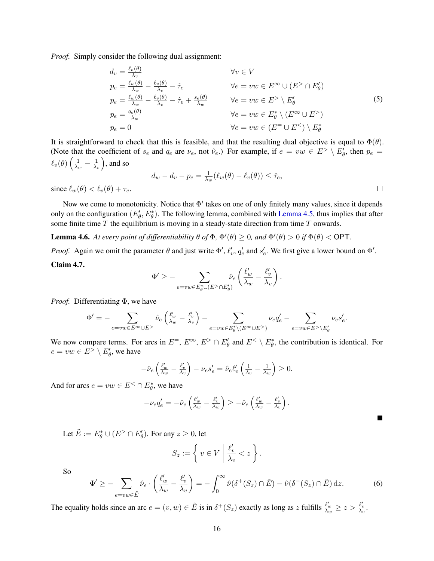*Proof.* Simply consider the following dual assignment:

$$
d_v = \frac{\ell_v(\theta)}{\lambda_v}
$$
  
\n
$$
p_e = \frac{\ell_w(\theta)}{\lambda_w} - \frac{\ell_v(\theta)}{\lambda_v} - \hat{\tau}_e
$$
  
\n
$$
p_e = \frac{\ell_w(\theta)}{\lambda_w} - \frac{\ell_v(\theta)}{\lambda_v} - \hat{\tau}_e + \frac{s_e(\theta)}{\lambda_w}
$$
  
\n
$$
p_e = \frac{q_e(\theta)}{\lambda_w}
$$
  
\n
$$
p_e = 0
$$
  
\n
$$
p_e = 0
$$
  
\n
$$
p_e = 0
$$
  
\n
$$
p_e = 0
$$
  
\n
$$
p_e = 0
$$
  
\n
$$
p_e = 0
$$
  
\n
$$
p_e = 0
$$
  
\n
$$
p_e = 0
$$
  
\n
$$
p_e = 0
$$
  
\n
$$
p_e = 0
$$
  
\n
$$
p_e = 0
$$
  
\n
$$
p_e = 0
$$
  
\n
$$
p_e = 0
$$
  
\n
$$
p_e = 0
$$
  
\n
$$
p_e = 0
$$
  
\n
$$
p_e = 0
$$
  
\n
$$
p_e = 0
$$
  
\n
$$
p_e = 0
$$
  
\n
$$
p_e = 0
$$
  
\n
$$
p_e = 0
$$
  
\n
$$
p_e = 0
$$
  
\n
$$
p_e = 0
$$
  
\n
$$
p_e = 0
$$
  
\n
$$
p_e = 0
$$
  
\n
$$
p_e = 0
$$
  
\n
$$
p_e = 0
$$
  
\n
$$
p_e = 0
$$
  
\n
$$
p_e = 0
$$
  
\n
$$
p_e = 0
$$
  
\n
$$
p_e = 0
$$
  
\n
$$
p_e = 0
$$
  
\n
$$
p_e = 0
$$
  
\n
$$
p_e = 0
$$
  
\n
$$
p_e = 0
$$
  
\n
$$
p_e = 0
$$
  
\n
$$
p_e = 0
$$

It is straightforward to check that this is feasible, and that the resulting dual objective is equal to  $\Phi(\theta)$ . (Note that the coefficient of  $s_e$  and  $q_e$  are  $\nu_e$ , not  $\hat{\nu}_e$ .) For example, if  $e = vw \in E^> \setminus E'_\theta$ , then  $p_e =$  $\ell_v(\theta)\left(\frac{1}{\lambda_v}\right)$  $\frac{1}{\lambda_w} - \frac{1}{\lambda_v}$  $\frac{1}{\lambda_v}$ , and so

$$
d_w - d_v - p_e = \frac{1}{\lambda_w} (\ell_w(\theta) - \ell_v(\theta)) \leq \hat{\tau}_e,
$$
  
 
$$
\Box
$$

since  $\ell_w(\theta) < \ell_v(\theta) + \tau_e$ .

Now we come to monotonicity. Notice that  $\Phi'$  takes on one of only finitely many values, since it depends only on the configuration  $(E'_{\theta}, E^*_{\theta})$ . The following lemma, combined with [Lemma 4.5,](#page-14-0) thus implies that after some finite time  $T$  the equilibrium is moving in a steady-state direction from time  $T$  onwards.

<span id="page-15-1"></span>**Lemma 4.6.** At every point of differentiability  $\theta$  of  $\Phi$ ,  $\Phi'(\theta) \ge 0$ , and  $\Phi'(\theta) > 0$  if  $\Phi(\theta) <$  OPT.

*Proof.* Again we omit the parameter  $\theta$  and just write  $\Phi'$ ,  $\ell'_v$ ,  $q'_e$  and  $s'_e$ . We first give a lower bound on  $\Phi'$ . Claim 4.7.

$$
\Phi'\ge -\sum_{e=vw\in E_{\theta}^*\cup (E^>\cap E_{\theta}')}\hat{\nu}_e\left(\frac{\ell'_w}{\lambda_w}-\frac{\ell'_v}{\lambda_v}\right).
$$

*Proof.* Differentiating Φ, we have

$$
\Phi' = - \sum_{e=vw \in E^\infty \cup E^>} \hat{\nu}_e \left( \tfrac{\ell'_w}{\lambda_w} - \tfrac{\ell'_v}{\lambda_v} \right) - \sum_{e=vw \in E_\theta^* \backslash (E^\infty \cup E^>)} \nu_e q'_e - \sum_{e=vw \in E^> \backslash E_\theta'} \nu_e s'_e.
$$

We now compare terms. For arcs in  $E^=$ ,  $E^{\infty}$ ,  $E^> \cap E^{\prime}_{\theta}$  and  $E^{\lt} \setminus E^*_{\theta}$ , the contribution is identical. For  $e = vw \in E^> \setminus E'_{\theta}$ , we have

$$
-\hat{\nu}_e \left( \frac{\ell'_w}{\lambda_w} - \frac{\ell'_v}{\lambda_v} \right) - \nu_e s'_e = \hat{\nu}_e \ell'_v \left( \frac{1}{\lambda_v} - \frac{1}{\lambda_w} \right) \ge 0.
$$

And for arcs  $e = vw \in E^{\lt} \cap E^*_\theta$ , we have

$$
-\nu_e q'_e = -\hat{\nu}_e \left(\frac{\ell'_w}{\lambda_w} - \frac{\ell'_v}{\lambda_w}\right) \geq -\hat{\nu}_e \left(\frac{\ell'_w}{\lambda_w} - \frac{\ell'_v}{\lambda_v}\right).
$$

Let  $\tilde{E} := E^*_{\theta} \cup (E^> \cap E'_{\theta})$ . For any  $z \ge 0$ , let

$$
S_z := \left\{ v \in V \mid \frac{\ell'_v}{\lambda_v} < z \right\}.
$$

So

<span id="page-15-0"></span>
$$
\Phi' \geq -\sum_{e=vw\in \tilde{E}} \hat{\nu}_e \cdot \left(\frac{\ell'_w}{\lambda_w} - \frac{\ell'_v}{\lambda_v}\right) = -\int_0^\infty \hat{\nu}(\delta^+(S_z) \cap \tilde{E}) - \hat{\nu}(\delta^-(S_z) \cap \tilde{E}) \,dz. \tag{6}
$$

 $\blacksquare$ 

The equality holds since an arc  $e = (v, w) \in \tilde{E}$  is in  $\delta^+(S_z)$  exactly as long as z fulfills  $\frac{\ell'_w}{\lambda_w} \ge z > \frac{\ell'_v}{\lambda_v}$ .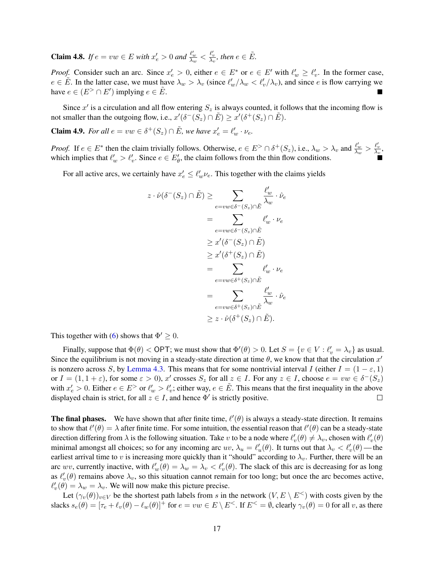**Claim 4.8.** *If*  $e = vw \in E$  *with*  $x'_e > 0$  *and*  $\frac{\ell'_w}{\lambda_w} < \frac{\ell'_v}{\lambda_v}$ *, then*  $e \in \tilde{E}$ *.* 

*Proof.* Consider such an arc. Since  $x'_e > 0$ , either  $e \in E^*$  or  $e \in E'$  with  $\ell'_w \geq \ell'_v$ . In the former case,  $e \in \tilde{E}$ . In the latter case, we must have  $\lambda_w > \lambda_v$  (since  $\ell'_w/\lambda_w < \ell'_v/\lambda_v$ ), and since e is flow carrying we have  $e \in (E^> \cap E')$  implying  $e \in \tilde{E}$ .

Since  $x'$  is a circulation and all flow entering  $S_z$  is always counted, it follows that the incoming flow is not smaller than the outgoing flow, i.e.,  $x'(\delta^-(S_z) \cap \tilde{E}) \geq x'(\delta^+(S_z) \cap \tilde{E})$ .

**Claim 4.9.** *For all*  $e = vw \in \delta^+(S_z) \cap \tilde{E}$ *, we have*  $x'_e = \ell'_w \cdot \nu_e$ *.* 

*Proof.* If  $e \in E^*$  then the claim trivially follows. Otherwise,  $e \in E^> \cap \delta^+(S_z)$ , i.e.,  $\lambda_w > \lambda_v$  and  $\frac{\ell'_w}{\lambda_w} > \frac{\ell'_v}{\lambda_v}$ , which implies that  $\ell'_w > \ell'_v$ . Since  $e \in E'_\theta$ , the claim follows from the thin flow conditions.

For all active arcs, we certainly have  $x'_e \leq \ell'_w \nu_e$ . This together with the claims yields

$$
z \cdot \hat{\nu}(\delta^{-}(S_z) \cap \tilde{E}) \ge \sum_{e=vw \in \delta^{-}(S_z) \cap \tilde{E}} \frac{\ell'_w}{\lambda_w} \cdot \hat{\nu}_e
$$
  
\n
$$
= \sum_{e=vw \in \delta^{-}(S_z) \cap \tilde{E}} \ell'_w \cdot \nu_e
$$
  
\n
$$
\ge x'(\delta^{-}(S_z) \cap \tilde{E})
$$
  
\n
$$
\ge x'(\delta^{+}(S_z) \cap \tilde{E})
$$
  
\n
$$
= \sum_{e=vw \in \delta^{+}(S_z) \cap \tilde{E}} \ell'_w \cdot \nu_e
$$
  
\n
$$
= \sum_{e=vw \in \delta^{+}(S_z) \cap \tilde{E}} \frac{\ell'_w}{\lambda_w} \cdot \hat{\nu}_e
$$
  
\n
$$
\ge z \cdot \hat{\nu}(\delta^{+}(S_z) \cap \tilde{E}).
$$

This together with [\(6\)](#page-15-0) shows that  $\Phi' \geq 0$ .

Finally, suppose that  $\Phi(\theta) < \text{OPT}$ ; we must show that  $\Phi'(\theta) > 0$ . Let  $S = \{v \in V : \ell'_v = \lambda_v\}$  as usual. Since the equilibrium is not moving in a steady-state direction at time  $\theta$ , we know that that the circulation  $x'$ is nonzero across S, by [Lemma 4.3.](#page-12-0) This means that for some nontrivial interval I (either  $I = (1 - \varepsilon, 1)$ ) or  $I = (1, 1 + \varepsilon)$ , for some  $\varepsilon > 0$ ), x' crosses  $S_z$  for all  $z \in I$ . For any  $z \in I$ , choose  $e = vw \in \delta^-(S_z)$ with  $x'_e > 0$ . Either  $e \in E^>$  or  $\ell'_w > \ell'_v$ ; either way,  $e \in \tilde{E}$ . This means that the first inequality in the above displayed chain is strict, for all  $z \in I$ , and hence  $\Phi'$  is strictly positive.  $\Box$ 

**The final phases.** We have shown that after finite time,  $\ell'(\theta)$  is always a steady-state direction. It remains to show that  $\ell'(\theta) = \lambda$  after finite time. For some intuition, the essential reason that  $\ell'(\theta)$  can be a steady-state direction differing from  $\lambda$  is the following situation. Take v to be a node where  $\ell'_v(\theta) \neq \lambda_v$ , chosen with  $\ell'_v(\theta)$ minimal amongst all choices; so for any incoming arc  $uv$ ,  $\lambda_u = \ell'_u(\theta)$ . It turns out that  $\lambda_v < \ell'_v(\theta)$ —the earliest arrival time to v is increasing more quickly than it "should" according to  $\lambda_v$ . Further, there will be an arc wv, currently inactive, with  $\ell'_w(\theta) = \lambda_w = \lambda_v < \ell'_v(\theta)$ . The slack of this arc is decreasing for as long as  $\ell'_v(\theta)$  remains above  $\lambda_v$ , so this situation cannot remain for too long; but once the arc becomes active,  $\ell'_v(\theta) = \lambda_w = \lambda_v$ . We will now make this picture precise.

Let  $(\gamma_v(\theta))_{v\in V}$  be the shortest path labels from s in the network  $(V, E \setminus E^{\lt} )$  with costs given by the slacks  $s_e(\theta) = [\tau_e + \ell_v(\theta) - \ell_w(\theta)]^+$  for  $e = vw \in E \setminus E^<$ . If  $E^< = \emptyset$ , clearly  $\gamma_v(\theta) = 0$  for all v, as there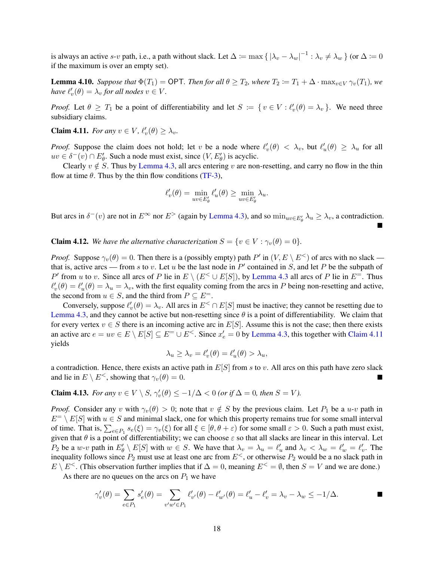is always an active s-v path, i.e., a path without slack. Let  $\Delta := \max \{ |\lambda_v - \lambda_w|^{-1} : \lambda_v \neq \lambda_w \}$  (or  $\Delta := 0$ if the maximum is over an empty set).

<span id="page-17-1"></span>**Lemma 4.10.** *Suppose that*  $\Phi(T_1) = \text{OPT}$ *. Then for all*  $\theta \geq T_2$ *, where*  $T_2 := T_1 + \Delta \cdot \max_{v \in V} \gamma_v(T_1)$ *, we have*  $\ell'_v(\theta) = \lambda_v$  *for all nodes*  $v \in V$ *.* 

*Proof.* Let  $\theta \geq T_1$  be a point of differentiability and let  $S := \{ v \in V : \ell_v'(\theta) = \lambda_v \}$ . We need three subsidiary claims.

<span id="page-17-0"></span>**Claim 4.11.** *For any*  $v \in V$ ,  $\ell'_v(\theta) \geq \lambda_v$ .

*Proof.* Suppose the claim does not hold; let v be a node where  $\ell'_v(\theta) < \lambda_v$ , but  $\ell'_u(\theta) \ge \lambda_u$  for all  $uv \in \delta^-(v) \cap E'_\theta$ . Such a node must exist, since  $(V, E'_\theta)$  is acyclic.

Clearly  $v \notin S$ . Thus by [Lemma 4.3,](#page-12-0) all arcs entering v are non-resetting, and carry no flow in the thin flow at time  $\theta$ . Thus by the thin flow conditions [\(TF-3\)](#page-5-3),

$$
\ell_v'(\theta) = \min_{uv \in E_{\theta}'} \ell_u'(\theta) \ge \min_{uv \in E_{\theta}'} \lambda_u.
$$

But arcs in  $\delta^-(v)$  are not in  $E^{\infty}$  nor  $E^>$  (again by [Lemma 4.3\)](#page-12-0), and so  $\min_{uv \in E'_\theta} \lambda_u \ge \lambda_v$ , a contradiction.  $\blacksquare$ 

**Claim 4.12.** *We have the alternative characterization*  $S = \{v \in V : \gamma_v(\theta) = 0\}$ *.* 

*Proof.* Suppose  $\gamma_v(\theta) = 0$ . Then there is a (possibly empty) path P' in  $(V, E \setminus E^{\lt} )$  of arcs with no slack that is, active arcs — from s to v. Let u be the last node in  $P'$  contained in S, and let P be the subpath of P' from u to v. Since all arcs of P lie in  $E \setminus (E^{\lt} \cup E[S])$ , by [Lemma 4.3](#page-12-0) all arcs of P lie in  $E^{\pm}$ . Thus  $\ell'_v(\theta) = \ell'_u(\theta) = \lambda_u = \lambda_v$ , with the first equality coming from the arcs in P being non-resetting and active, the second from  $u \in S$ , and the third from  $P \subseteq E^=$ .

Conversely, suppose  $\ell'_v(\theta) = \lambda_v$ . All arcs in  $E^{\lt} \cap E[S]$  must be inactive; they cannot be resetting due to [Lemma 4.3,](#page-12-0) and they cannot be active but non-resetting since  $\theta$  is a point of differentiability. We claim that for every vertex  $v \in S$  there is an incoming active arc in  $E[S]$ . Assume this is not the case; then there exists an active arc  $e = uv \in E \setminus E[S] \subseteq E^= \cup E^<$ . Since  $x'_e = 0$  by [Lemma 4.3,](#page-12-0) this together with [Claim 4.11](#page-17-0) yields

$$
\lambda_u \ge \lambda_v = \ell'_v(\theta) = \ell'_u(\theta) > \lambda_u,
$$

a contradiction. Hence, there exists an active path in  $E[S]$  from s to v. All arcs on this path have zero slack and lie in  $E \setminus E^<$ , showing that  $\gamma_v(\theta) = 0$ .

**Claim 4.13.** For any 
$$
v \in V \setminus S
$$
,  $\gamma'_v(\theta) \le -1/\Delta < 0$  (or if  $\Delta = 0$ , then  $S = V$ ).

*Proof.* Consider any v with  $\gamma_v(\theta) > 0$ ; note that  $v \notin S$  by the previous claim. Let  $P_1$  be a u-v path in  $E^= \setminus E[S]$  with  $u \in S$  and minimal slack, one for which this property remains true for some small interval of time. That is,  $\sum_{e \in P_1} s_e(\xi) = \gamma_v(\xi)$  for all  $\xi \in [\theta, \theta + \varepsilon)$  for some small  $\varepsilon > 0$ . Such a path must exist, given that  $\theta$  is a point of differentiability; we can choose  $\varepsilon$  so that all slacks are linear in this interval. Let  $P_2$  be a w-v path in  $E'_\theta \setminus E[S]$  with  $w \in S$ . We have that  $\lambda_v = \lambda_u = \ell'_u$  and  $\lambda_v < \lambda_w = \ell'_w = \ell'_v$ . The inequality follows since  $P_2$  must use at least one arc from  $E^<$ , or otherwise  $P_2$  would be a no slack path in  $E \setminus E^{\lt}$ . (This observation further implies that if  $\Delta = 0$ , meaning  $E^{\lt} = \emptyset$ , then  $S = V$  and we are done.)

As there are no queues on the arcs on  $P_1$  we have

$$
\gamma'_v(\theta) = \sum_{e \in P_1} s'_e(\theta) = \sum_{v'w' \in P_1} \ell'_{v'}(\theta) - \ell'_{w'}(\theta) = \ell'_{u} - \ell'_{v} = \lambda_v - \lambda_w \le -1/\Delta.
$$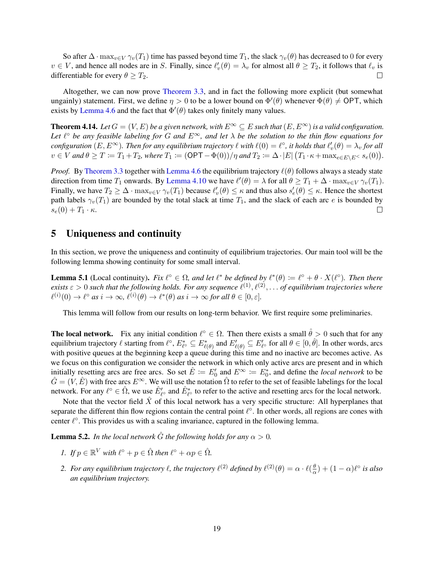So after  $\Delta \cdot \max_{v \in V} \gamma_v(T_1)$  time has passed beyond time  $T_1$ , the slack  $\gamma_v(\theta)$  has decreased to 0 for every  $v \in V$ , and hence all nodes are in S. Finally, since  $\ell'_v(\theta) = \lambda_v$  for almost all  $\theta \ge T_2$ , it follows that  $\ell_v$  is differentiable for every  $\theta \geq T_2$ .  $\Box$ 

Altogether, we can now prove [Theorem 3.3,](#page-8-0) and in fact the following more explicit (but somewhat ungainly) statement. First, we define  $\eta > 0$  to be a lower bound on  $\Phi'(\theta)$  whenever  $\Phi(\theta) \neq \text{OPT}$ , which exists by [Lemma 4.6](#page-15-1) and the fact that  $\Phi'(\theta)$  takes only finitely many values.

<span id="page-18-1"></span>**Theorem 4.14.** *Let*  $G = (V, E)$  *be a given network, with*  $E^{\infty} \subseteq E$  *such that*  $(E, E^{\infty})$  *is a valid configuration.* Let  $\ell^{\circ}$  be any feasible labeling for G and  $E^{\infty}$ , and let  $\lambda$  be the solution to the thin flow equations for  $configuration (E, E^{\infty})$ . Then for any equilibrium trajectory  $\ell$  with  $\ell(0) = \ell^{\circ}$ , it holds that  $\ell'_v(\theta) = \lambda_v$  for all  $v \in V$  and  $\theta \geq T := T_1 + T_2$ , where  $T_1 := (\mathsf{OPT} - \Phi(0))/\eta$  and  $T_2 := \Delta \cdot |E| (T_1 \cdot \kappa + \max_{e \in E \setminus E^{\leq}} s_e(0)).$ 

*Proof.* By [Theorem 3.3](#page-8-0) together with [Lemma 4.6](#page-15-1) the equilibrium trajectory  $\ell(\theta)$  follows always a steady state direction from time  $T_1$  onwards. By [Lemma 4.10](#page-17-1) we have  $\ell'(\theta) = \lambda$  for all  $\theta \ge T_1 + \Delta \cdot \max_{v \in V} \gamma_v(T_1)$ . Finally, we have  $T_2 \ge \Delta \cdot \max_{v \in V} \gamma_v(T_1)$  because  $\ell'_v(\theta) \le \kappa$  and thus also  $s'_e(\theta) \le \kappa$ . Hence the shortest path labels  $\gamma_v(T_1)$  are bounded by the total slack at time  $T_1$ , and the slack of each arc e is bounded by  $s_e(0) + T_1 \cdot \kappa.$  $\Box$ 

# <span id="page-18-3"></span>5 Uniqueness and continuity

In this section, we prove the uniqueness and continuity of equilibrium trajectories. Our main tool will be the following lemma showing continuity for some small interval.

<span id="page-18-0"></span>**Lemma 5.1** (Local continuity). *Fix*  $\ell^{\circ} \in \Omega$ *, and let*  $\ell^*$  *be defined by*  $\ell^*(\theta) := \ell^{\circ} + \theta \cdot X(\ell^{\circ})$ *. Then there*  $e$ xists  $\varepsilon > 0$  such that the following holds. For any sequence  $\ell^{(1)}, \ell^{(2)}, \ldots$  of equilibrium trajectories where  $\ell^{(i)}(0) \to \ell^{\circ}$  *as*  $i \to \infty$ ,  $\ell^{(i)}(\theta) \to \ell^*(\theta)$  *as*  $i \to \infty$  *for all*  $\theta \in [0, \varepsilon]$ *.* 

This lemma will follow from our results on long-term behavior. We first require some preliminaries.

**The local network.** Fix any initial condition  $\ell^{\circ} \in \Omega$ . Then there exists a small  $\hat{\theta} > 0$  such that for any equilibrium trajectory  $\ell$  starting from  $\ell^{\circ}$ ,  $E_{\ell^{\circ}}^* \subseteq E_{\ell(\theta)}^*$  and  $E_{\ell(\theta)}' \subseteq E_{\ell^{\circ}}'$  for all  $\theta \in [0, \hat{\theta}]$ . In other words, arcs with positive queues at the beginning keep a queue during this time and no inactive arc becomes active. As we focus on this configuration we consider the network in which only active arcs are present and in which initially resetting arcs are free arcs. So set  $\hat{E} := E_0'$  and  $E^\infty := E_0^*$ , and define the *local network* to be  $\hat{G} = (V, \hat{E})$  with free arcs  $E^{\infty}$ . We will use the notation  $\hat{\Omega}$  to refer to the set of feasible labelings for the local network. For any  $\ell^{\circ} \in \hat{\Omega}$ , we use  $\hat{E}'_{\ell^{\circ}}$  and  $\hat{E}^*_{\ell^{\circ}}$  to refer to the active and resetting arcs for the local network.

Note that the vector field  $X$  of this local network has a very specific structure: All hyperplanes that separate the different thin flow regions contain the central point  $\ell^{\circ}$ . In other words, all regions are cones with center  $\ell^{\circ}$ . This provides us with a scaling invariance, captured in the following lemma.

<span id="page-18-2"></span>**Lemma 5.2.** *In the local network*  $\hat{G}$  *the following holds for any*  $\alpha > 0$ *.* 

- *1. If*  $p \in \mathbb{R}^V$  *with*  $\ell^\circ + p \in \hat{\Omega}$  *then*  $\ell^\circ + \alpha p \in \hat{\Omega}$ *.*
- 2. *For any equilibrium trajectory*  $\ell$ , the trajectory  $\ell^{(2)}$  defined by  $\ell^{(2)}(\theta) = \alpha \cdot \ell(\frac{\theta}{\alpha})$  $\frac{\theta}{\alpha}$ ) +  $(1 - \alpha)\ell^{\circ}$  *is also an equilibrium trajectory.*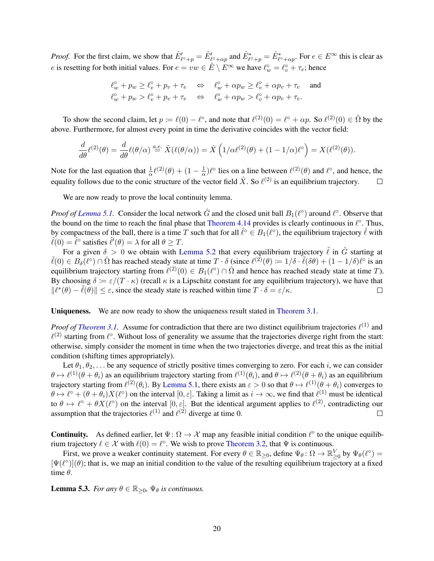*Proof.* For the first claim, we show that  $\hat{E}'_{\ell^{\circ}+p} = \hat{E}'_{\ell^{\circ}+\alpha p}$  and  $\hat{E}^*_{\ell^{\circ}+p} = \hat{E}^*_{\ell^{\circ}+\alpha p}$ . For  $e \in E^{\infty}$  this is clear as e is resetting for both initial values. For  $e = vw \in \hat{E} \setminus E^{\infty}$  we have  $\ell_w^{\circ} = \ell_v^{\circ} + \tau_e$ ; hence

$$
\begin{array}{lll} \ell ^{\circ }_{w} + p _{w} \geq \ell ^{\circ }_{v} + p _{v} + \tau _{e} & \Leftrightarrow & \ell ^{\circ }_{w} + \alpha p _{w} \geq \ell ^{\circ }_{v} + \alpha p _{v} + \tau _{e} \quad \text { and } \\ \ell ^{\circ }_{w} + p _{w} > \ell ^{\circ }_{v} + p _{v} + \tau _{e} & \Leftrightarrow & \ell ^{\circ }_{w} + \alpha p _{w} > \ell ^{\circ }_{v} + \alpha p _{v} + \tau _{e}. \end{array}
$$

To show the second claim, let  $p := \ell(0) - \ell^{\circ}$ , and note that  $\ell^{(2)}(0) = \ell^{\circ} + \alpha p$ . So  $\ell^{(2)}(0) \in \hat{\Omega}$  by the above. Furthermore, for almost every point in time the derivative coincides with the vector field:

$$
\frac{d}{d\theta}\ell^{(2)}(\theta) = \frac{d}{d\theta}\ell(\theta/\alpha) \stackrel{a.e.}{=} \hat{X}(\ell(\theta/\alpha)) = \hat{X}\left(1/\alpha\ell^{(2)}(\theta) + (1 - 1/\alpha)\ell^{\circ}\right) = X(\ell^{(2)}(\theta)).
$$

Note for the last equation that  $\frac{1}{\alpha} \ell^{(2)}(\theta) + (1 - \frac{1}{\alpha})$  $\frac{1}{\alpha}$ ) $\ell^{\circ}$  lies on a line between  $\ell^{(2)}(\theta)$  and  $\ell^{\circ}$ , and hence, the equality follows due to the conic structure of the vector field  $\hat{X}$ . So  $\ell^{(2)}$  is an equilibrium trajectory.  $\Box$ 

We are now ready to prove the local continuity lemma.

*Proof of Lemma 5.1*. Consider the local network  $\hat{G}$  and the closed unit ball  $B_1(\ell^{\circ})$  around  $\ell^{\circ}$ . Observe that the bound on the time to reach the final phase that [Theorem 4.14](#page-18-1) provides is clearly continuous in  $\ell^{\circ}$ . Thus, by compactness of the ball, there is a time T such that for all  $\hat{\ell}^{\circ} \in B_1(\ell^{\circ})$ , the equilibrium trajectory  $\hat{\ell}$  with  $\hat{\ell}(0) = \hat{\ell}^{\circ}$  satisfies  $\hat{\ell}'(\theta) = \lambda$  for all  $\theta \geq T$ .

For a given  $\delta > 0$  we obtain with [Lemma 5.2](#page-18-2) that every equilibrium trajectory  $\tilde{\ell}$  in  $\hat{G}$  starting at  $\tilde{\ell}(0) \in B_{\delta}(\ell^{\circ}) \cap \hat{\Omega}$  has reached steady state at time  $T \cdot \delta$  (since  $\ell^{(2)}(\theta) := 1/\delta \cdot \tilde{\ell}(\delta \theta) + (1 - 1/\delta)\ell^{\circ}$  is an equilibrium trajectory starting from  $\ell^{(2)}(0) \in B_1(\ell^{\circ}) \cap \hat{\Omega}$  and hence has reached steady state at time T). By choosing  $\delta := \varepsilon/(T \cdot \kappa)$  (recall  $\kappa$  is a Lipschitz constant for any equilibrium trajectory), we have that  $||\ell^*(\theta) - \tilde{\ell}(\theta)|| \leq \varepsilon$ , since the steady state is reached within time  $T \cdot \delta = \varepsilon/\kappa$ .  $\Box$ 

Uniqueness. We are now ready to show the uniqueness result stated in [Theorem 3.1.](#page-7-0)

*Proof of [Theorem 3.1.](#page-7-0)* Assume for contradiction that there are two distinct equilibrium trajectories  $\ell^{(1)}$  and  $\ell^{(2)}$  starting from  $\ell^{\circ}$ . Without loss of generality we assume that the trajectories diverge right from the start: otherwise, simply consider the moment in time when the two trajectories diverge, and treat this as the initial condition (shifting times appropriately).

Let  $\theta_1, \theta_2, \ldots$  be any sequence of strictly positive times converging to zero. For each i, we can consider  $\theta \mapsto \ell^{(1)}(\theta + \theta_i)$  as an equilibrium trajectory starting from  $\ell^{(1)}(\theta_i)$ , and  $\theta \mapsto \ell^{(2)}(\theta + \theta_i)$  as an equilibrium trajectory starting from  $\ell^{(2)}(\theta_i)$ . By [Lemma 5.1,](#page-18-0) there exists an  $\varepsilon > 0$  so that  $\theta \mapsto \ell^{(1)}(\theta + \theta_i)$  converges to  $\theta \mapsto \ell^{\circ} + (\theta + \theta_i)X(\ell^{\circ})$  on the interval  $[0, \varepsilon]$ . Taking a limit as  $i \to \infty$ , we find that  $\ell^{(1)}$  must be identical to  $\theta \mapsto \ell^{\circ} + \theta X(\ell^{\circ})$  on the interval  $[0, \varepsilon]$ . But the identical argument applies to  $\ell^{(2)}$ , contradicting our assumption that the trajectories  $\ell^{(1)}$  and  $\ell^{(2)}$  diverge at time 0.  $\Box$ 

**Continuity.** As defined earlier, let  $\Psi: \Omega \to \mathcal{X}$  map any feasible initial condition  $\ell^{\circ}$  to the unique equilibrium trajectory  $\ell \in \mathcal{X}$  with  $\ell(0) = \ell^{\circ}$ . We wish to prove [Theorem 3.2,](#page-7-1) that  $\Psi$  is continuous.

First, we prove a weaker continuity statement. For every  $\theta \in \mathbb{R}_{\geq 0}$ , define  $\Psi_{\theta} \colon \Omega \to \mathbb{R}_{\geq 0}^V$  by  $\Psi_{\theta}(\ell^{\circ}) =$  $[\Psi(\ell^{\circ})](\theta)$ ; that is, we map an initial condition to the value of the resulting equilibrium trajectory at a fixed time  $\theta$ .

**Lemma 5.3.** *For any*  $\theta \in \mathbb{R}_{\geq 0}$ ,  $\Psi_{\theta}$  *is continuous.*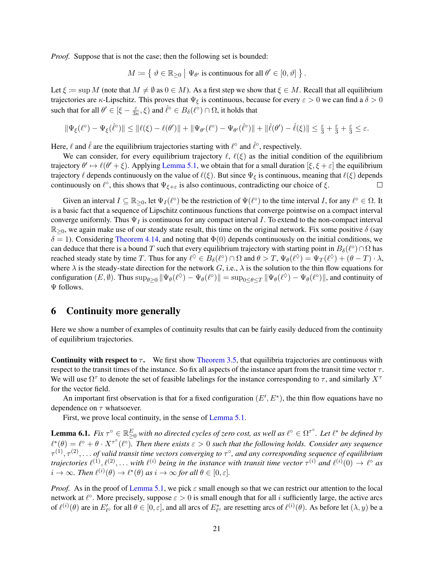*Proof.* Suppose that is not the case; then the following set is bounded:

$$
M \coloneqq \left\{ \left. \vartheta \in \mathbb{R}_{\geq 0} \; \right| \, \Psi_{\theta'} \text{ is continuous for all } \theta' \in [0, \vartheta] \, \right\}.
$$

Let  $\xi := \sup M$  (note that  $M \neq \emptyset$  as  $0 \in M$ ). As a first step we show that  $\xi \in M$ . Recall that all equilibrium trajectories are κ-Lipschitz. This proves that  $\Psi_{\xi}$  is continuous, because for every  $\varepsilon > 0$  we can find a  $\delta > 0$ such that for all  $\theta' \in [\xi - \frac{\varepsilon}{3}$  $\frac{\varepsilon}{3\kappa}, \xi$  and  $\hat{\ell}^{\circ} \in B_{\delta}(\ell^{\circ}) \cap \Omega$ , it holds that

$$
\|\Psi_\xi(\ell^\circ)-\Psi_\xi(\hat{\ell}^\circ)\|\leq \|\ell(\xi)-\ell(\theta')\|+\|\Psi_{\theta'}(\ell^\circ)-\Psi_{\theta'}(\hat{\ell}^\circ)\|+\|\hat{\ell}(\theta')-\hat{\ell}(\xi)\|\leq \tfrac{\varepsilon}{3}+\tfrac{\varepsilon}{3}+\tfrac{\varepsilon}{3}\leq \varepsilon.
$$

Here,  $\ell$  and  $\hat{\ell}$  are the equilibrium trajectories starting with  $\ell^{\circ}$  and  $\hat{\ell}^{\circ}$ , respectively.

We can consider, for every equilibrium trajectory  $\ell$ ,  $\ell(\xi)$  as the initial condition of the equilibrium trajectory  $\theta' \mapsto \ell(\theta' + \xi)$ . Applying [Lemma 5.1,](#page-18-0) we obtain that for a small duration  $[\xi, \xi + \varepsilon]$  the equilibrium trajectory  $\ell$  depends continuously on the value of  $\ell(\xi)$ . But since  $\Psi_{\xi}$  is continuous, meaning that  $\ell(\xi)$  depends continuously on  $\ell^{\circ}$ , this shows that  $\Psi_{\xi+\varepsilon}$  is also continuous, contradicting our choice of  $\xi$ .  $\Box$ 

Given an interval  $I \subseteq \mathbb{R}_{\geq 0}$ , let  $\Psi_I(\ell^{\circ})$  be the restriction of  $\Psi(\ell^{\circ})$  to the time interval I, for any  $\ell^{\circ} \in \Omega$ . It is a basic fact that a sequence of Lipschitz continuous functions that converge pointwise on a compact interval converge uniformly. Thus  $\Psi_I$  is continuous for any compact interval I. To extend to the non-compact interval  $\mathbb{R}_{>0}$ , we again make use of our steady state result, this time on the original network. Fix some positive  $\delta$  (say  $\delta = 1$ ). Considering [Theorem 4.14,](#page-18-1) and noting that  $\Phi(0)$  depends continuously on the initial conditions, we can deduce that there is a bound T such that every equilibrium trajectory with starting point in  $B_\delta(\ell^\circ) \cap \Omega$  has reached steady state by time T. Thus for any  $\ell^{\lozenge} \in B_{\delta}(\ell^{\circ}) \cap \Omega$  and  $\theta > T$ ,  $\Psi_{\theta}(\ell^{\lozenge}) = \Psi_T(\ell^{\lozenge}) + (\theta - T) \cdot \lambda$ , where  $\lambda$  is the steady-state direction for the network G, i.e.,  $\lambda$  is the solution to the thin flow equations for configuration  $(E, \emptyset)$ . Thus  $\sup_{\theta \geq 0} \|\Psi_{\theta}(\ell^{\Diamond}) - \Psi_{\theta}(\ell^{\Diamond})\| = \sup_{0 \leq \theta \leq T} \|\Psi_{\theta}(\ell^{\Diamond}) - \Psi_{\theta}(\ell^{\Diamond})\|$ , and continuity of Ψ follows.

# 6 Continuity more generally

Here we show a number of examples of continuity results that can be fairly easily deduced from the continuity of equilibrium trajectories.

**Continuity with respect to**  $\tau$ **.** We first show [Theorem 3.5,](#page-10-0) that equilibria trajectories are continuous with respect to the transit times of the instance. So fix all aspects of the instance apart from the transit time vector  $\tau$ . We will use  $\Omega^{\tau}$  to denote the set of feasible labelings for the instance corresponding to  $\tau$ , and similarly  $X^{\tau}$ for the vector field.

An important first observation is that for a fixed configuration  $(E', E^*)$ , the thin flow equations have no dependence on  $\tau$  whatsoever.

First, we prove local continuity, in the sense of [Lemma 5.1.](#page-18-0)

**Lemma 6.1.** Fix  $\tau^{\circ} \in \mathbb{R}_{\geq 0}^E$  with no directed cycles of zero cost, as well as  $\ell^{\circ} \in \Omega^{\tau^{\circ}}$ . Let  $\ell^*$  be defined by  $\ell^*(\theta) = \ell^{\circ} + \theta \cdot X^{\tau^{\circ}}(\ell^{\circ})$ . Then there exists  $\varepsilon > 0$  such that the following holds. Consider any sequence  $\tau^{(1)},\tau^{(2)},\ldots$  of valid transit time vectors converging to  $\tau^\circ$ , and any corresponding sequence of equilibrium *trajectories*  $\ell^{(1)}, \ell^{(2)}, \ldots$  with  $\ell^{(i)}$  being in the instance with transit time vector  $\tau^{(i)}$  and  $\ell^{(i)}(0) \to \ell^{\circ}$  as  $i \to \infty$ *. Then*  $\ell^{(i)}(\theta) \to \ell^*(\theta)$  as  $i \to \infty$  for all  $\theta \in [0, \varepsilon]$ .

*Proof.* As in the proof of [Lemma 5.1,](#page-18-0) we pick  $\varepsilon$  small enough so that we can restrict our attention to the local network at  $\ell^{\circ}$ . More precisely, suppose  $\varepsilon > 0$  is small enough that for all i sufficiently large, the active arcs of  $\ell^{(i)}(\theta)$  are in  $E'_{\ell}$  for all  $\theta \in [0, \varepsilon]$ , and all arcs of  $E^*_{\ell}$  are resetting arcs of  $\ell^{(i)}(\theta)$ . As before let  $(\lambda, y)$  be a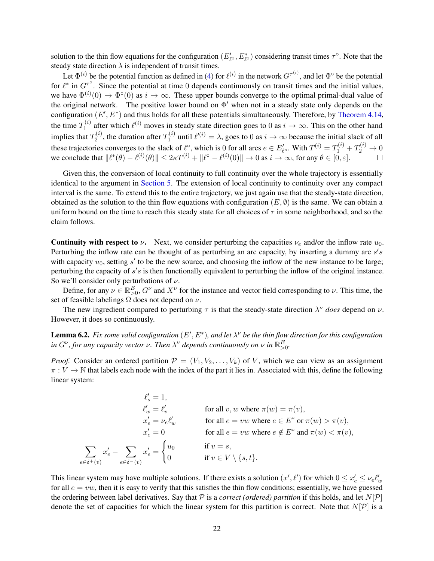solution to the thin flow equations for the configuration  $(E'_{\ell}, E^*_{\ell})$  considering transit times  $\tau^{\circ}$ . Note that the steady state direction  $\lambda$  is independent of transit times.

Let  $\Phi^{(i)}$  be the potential function as defined in [\(4\)](#page-13-1) for  $\ell^{(i)}$  in the network  $G^{\tau^{(i)}}$ , and let  $\Phi^{\circ}$  be the potential for  $\ell^*$  in  $G^{\tau^0}$ . Since the potential at time 0 depends continuously on transit times and the initial values, we have  $\Phi^{(i)}(0) \to \Phi^{\circ}(0)$  as  $i \to \infty$ . These upper bounds converge to the optimal primal-dual value of the original network. The positive lower bound on  $\Phi'$  when not in a steady state only depends on the configuration  $(E', E^*)$  and thus holds for all these potentials simultaneously. Therefore, by [Theorem 4.14,](#page-18-1) the time  $T_1^{(i)}$  $n_1^{(i)}$  after which  $\ell^{(i)}$  moves in steady state direction goes to 0 as  $i \to \infty$ . This on the other hand implies that  $T_2^{(i)}$  $T_2^{(i)}$ , the duration after  $T_1^{(i)}$  $\mathbf{I}^{(i)}_1$  until  $\ell^{(i)} = \lambda$ , goes to 0 as  $i \to \infty$  because the initial slack of all these trajectories converges to the slack of  $\ell^{\circ}$ , which is 0 for all arcs  $e \in E'_{\ell^{\circ}}$ . With  $T^{(i)} = T_1^{(i)} + T_2^{(i)} \to 0$ we conclude that  $\|\ell^*(\theta) - \ell^{(i)}(\theta)\| \leq 2\kappa T^{(i)} + \|\ell^{\circ} - \ell^{(i)}(0)\| \to 0$  as  $i \to \infty$ , for any  $\theta \in [0, \varepsilon]$ .

Given this, the conversion of local continuity to full continuity over the whole trajectory is essentially identical to the argument in [Section 5.](#page-18-3) The extension of local continuity to continuity over any compact interval is the same. To extend this to the entire trajectory, we just again use that the steady-state direction, obtained as the solution to the thin flow equations with configuration  $(E, \emptyset)$  is the same. We can obtain a uniform bound on the time to reach this steady state for all choices of  $\tau$  in some neighborhood, and so the claim follows.

**Continuity with respect to**  $\nu$ . Next, we consider perturbing the capacities  $\nu_e$  and/or the inflow rate  $u_0$ . Perturbing the inflow rate can be thought of as perturbing an arc capacity, by inserting a dummy arc  $s's$ with capacity  $u_0$ , setting  $s'$  to be the new source, and choosing the inflow of the new instance to be large; perturbing the capacity of  $s's$  is then functionally equivalent to perturbing the inflow of the original instance. So we'll consider only perturbations of  $\nu$ .

Define, for any  $\nu \in \mathbb{R}^E_{>0}$ ,  $G^{\nu}$  and  $X^{\nu}$  for the instance and vector field corresponding to  $\nu$ . This time, the set of feasible labelings  $\Omega$  does not depend on  $\nu$ .

The new ingredient compared to perturbing  $\tau$  is that the steady-state direction  $\lambda^{\nu}$  *does* depend on  $\nu$ . However, it does so continuously.

<span id="page-21-0"></span>**Lemma 6.2.** Fix some valid configuration  $(E', E^*)$ , and let  $\lambda^{\nu}$  be the thin flow direction for this configuration *in*  $G^{\nu}$ , for any capacity vector  $\nu$ . Then  $\lambda^{\nu}$  depends continuously on  $\nu$  in  $\mathbb{R}^E_{>0}$ .

*Proof.* Consider an ordered partition  $P = (V_1, V_2, \ldots, V_k)$  of V, which we can view as an assignment  $\pi : V \to \mathbb{N}$  that labels each node with the index of the part it lies in. Associated with this, define the following linear system:

 $\ell_s' = 1,$  $\ell'_w = \ell'_v$  for all v, w where  $\pi(w) = \pi(v)$ ,  $x'_e = \nu_e \ell'_w$  for all  $e = vw$  where  $e \in E^*$  or  $\pi(w) > \pi(v)$ ,  $x'_e = 0$  for all  $e = vw$  where  $e \notin E^*$  and  $\pi(w) < \pi(v)$ ,  $\sum$  $e \in \delta^+(v)$  $x'_e - \sum$  $e \in \delta^-(v)$  $x'_e =$  $\int u_0$  if  $v = s$ , 0 if  $v \in V \setminus \{s, t\}.$ 

This linear system may have multiple solutions. If there exists a solution  $(x', \ell')$  for which  $0 \le x'_e \le v_e \ell'_w$ for all  $e = vw$ , then it is easy to verify that this satisfies the thin flow conditions; essentially, we have guessed the ordering between label derivatives. Say that P is a *correct (ordered) partition* if this holds, and let  $N[\mathcal{P}]$ denote the set of capacities for which the linear system for this partition is correct. Note that  $N[\mathcal{P}]$  is a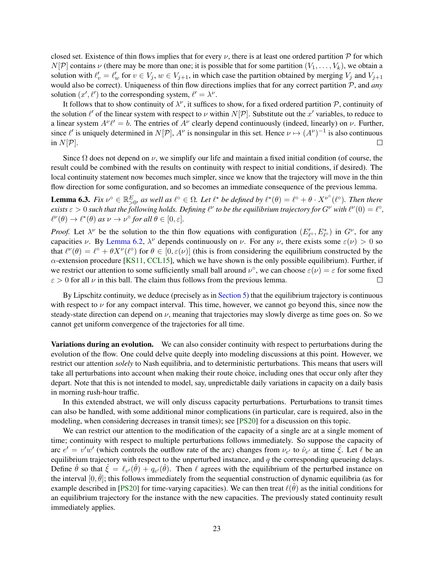closed set. Existence of thin flows implies that for every  $\nu$ , there is at least one ordered partition  $\mathcal P$  for which  $N[\mathcal{P}]$  contains  $\nu$  (there may be more than one; it is possible that for some partition  $(V_1, \ldots, V_k)$ , we obtain a solution with  $\ell'_v = \ell'_w$  for  $v \in V_j$ ,  $w \in V_{j+1}$ , in which case the partition obtained by merging  $V_j$  and  $V_{j+1}$ would also be correct). Uniqueness of thin flow directions implies that for any correct partition P, and *any* solution  $(x', \ell')$  to the corresponding system,  $\ell' = \lambda^{\nu}$ .

It follows that to show continuity of  $\lambda^{\nu}$ , it suffices to show, for a fixed ordered partition P, continuity of the solution  $\ell'$  of the linear system with respect to  $\nu$  within  $N[\mathcal{P}]$ . Substitute out the  $x'$  variables, to reduce to a linear system  $A^{\nu} \ell' = b$ . The entries of  $A^{\nu}$  clearly depend continuously (indeed, linearly) on  $\nu$ . Further, since  $\ell'$  is uniquely determined in  $N[\mathcal{P}]$ ,  $A^{\nu}$  is nonsingular in this set. Hence  $\nu \mapsto (A^{\nu})^{-1}$  is also continuous in  $N[\mathcal{P}].$  $\Box$ 

Since  $\Omega$  does not depend on  $\nu$ , we simplify our life and maintain a fixed initial condition (of course, the result could be combined with the results on continuity with respect to initial conditions, if desired). The local continuity statement now becomes much simpler, since we know that the trajectory will move in the thin flow direction for some configuration, and so becomes an immediate consequence of the previous lemma.

**Lemma 6.3.** Fix  $\nu^{\circ} \in \mathbb{R}_{>0}^E$ , as well as  $\ell^{\circ} \in \Omega$ . Let  $\ell^*$  be defined by  $\ell^*(\theta) = \ell^{\circ} + \theta \cdot X^{\nu^{\circ}}(\ell^{\circ})$ . Then there *exists*  $\varepsilon > 0$  such that the following holds. Defining  $\ell^{\nu}$  to be the equilibrium trajectory for  $G^{\nu}$  with  $\ell^{\nu}(0) = \ell^{\circ}$ ,  $\ell^{\nu}(\theta) \to \ell^*(\theta)$  as  $\nu \to \nu^{\circ}$  for all  $\theta \in [0, \varepsilon]$ .

*Proof.* Let  $\lambda^{\nu}$  be the solution to the thin flow equations with configuration  $(E'_{\ell^{\circ}}, E^*_{\ell^{\circ}})$  in  $G^{\nu}$ , for any capacities v. By [Lemma 6.2,](#page-21-0)  $\lambda^{\nu}$  depends continuously on v. For any v, there exists some  $\varepsilon(\nu) > 0$  so that  $\ell^{\nu}(\theta) = \ell^{\circ} + \theta X^{\nu}(\ell^{\circ})$  for  $\theta \in [0, \varepsilon(\nu)]$  (this is from considering the equilibrium constructed by the  $\alpha$ -extension procedure [\[KS11,](#page-24-12) [CCL15\]](#page-23-1), which we have shown is the only possible equilibrium). Further, if we restrict our attention to some sufficiently small ball around  $\nu^{\circ}$ , we can choose  $\varepsilon(\nu) = \varepsilon$  for some fixed  $\varepsilon > 0$  for all  $\nu$  in this ball. The claim thus follows from the previous lemma.  $\Box$ 

By Lipschitz continuity, we deduce (precisely as in [Section 5\)](#page-18-3) that the equilibrium trajectory is continuous with respect to  $\nu$  for any compact interval. This time, however, we cannot go beyond this, since now the steady-state direction can depend on  $\nu$ , meaning that trajectories may slowly diverge as time goes on. So we cannot get uniform convergence of the trajectories for all time.

Variations during an evolution. We can also consider continuity with respect to perturbations during the evolution of the flow. One could delve quite deeply into modeling discussions at this point. However, we restrict our attention *solely* to Nash equilibria, and to deterministic perturbations. This means that users will take all perturbations into account when making their route choice, including ones that occur only after they depart. Note that this is not intended to model, say, unpredictable daily variations in capacity on a daily basis in morning rush-hour traffic.

In this extended abstract, we will only discuss capacity perturbations. Perturbations to transit times can also be handled, with some additional minor complications (in particular, care is required, also in the modeling, when considering decreases in transit times); see [\[PS20\]](#page-24-16) for a discussion on this topic.

We can restrict our attention to the modification of the capacity of a single arc at a single moment of time; continuity with respect to multiple perturbations follows immediately. So suppose the capacity of arc  $e' = v'w'$  (which controls the outflow rate of the arc) changes from  $v_{e'}$  to  $\hat{v}_{e'}$  at time  $\hat{\xi}$ . Let  $\ell$  be an equilibrium trajectory with respect to the unperturbed instance, and  $q$  the corresponding queueing delays. Define  $\hat{\theta}$  so that  $\hat{\xi} = \ell_{v'}(\hat{\theta}) + q_{e'}(\hat{\theta})$ . Then  $\ell$  agrees with the equilibrium of the perturbed instance on the interval  $[0, \hat{\theta}]$ ; this follows immediately from the sequential construction of dynamic equilibria (as for example described in [\[PS20\]](#page-24-16) for time-varying capacities). We can then treat  $\ell(\hat{\theta})$  as the initial conditions for an equilibrium trajectory for the instance with the new capacities. The previously stated continuity result immediately applies.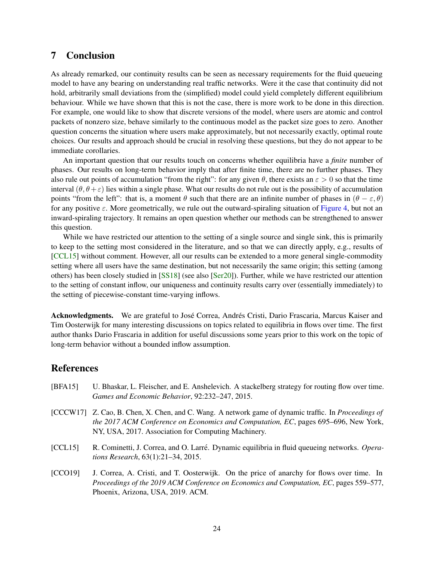# 7 Conclusion

As already remarked, our continuity results can be seen as necessary requirements for the fluid queueing model to have any bearing on understanding real traffic networks. Were it the case that continuity did not hold, arbitrarily small deviations from the (simplified) model could yield completely different equilibrium behaviour. While we have shown that this is not the case, there is more work to be done in this direction. For example, one would like to show that discrete versions of the model, where users are atomic and control packets of nonzero size, behave similarly to the continuous model as the packet size goes to zero. Another question concerns the situation where users make approximately, but not necessarily exactly, optimal route choices. Our results and approach should be crucial in resolving these questions, but they do not appear to be immediate corollaries.

An important question that our results touch on concerns whether equilibria have a *finite* number of phases. Our results on long-term behavior imply that after finite time, there are no further phases. They also rule out points of accumulation "from the right": for any given  $\theta$ , there exists an  $\varepsilon > 0$  so that the time interval  $(\theta, \theta + \varepsilon)$  lies within a single phase. What our results do not rule out is the possibility of accumulation points "from the left": that is, a moment  $\theta$  such that there are an infinite number of phases in  $(\theta - \varepsilon, \theta)$ for any positive  $\varepsilon$ . More geometrically, we rule out the outward-spiraling situation of [Figure 4,](#page-6-1) but not an inward-spiraling trajectory. It remains an open question whether our methods can be strengthened to answer this question.

While we have restricted our attention to the setting of a single source and single sink, this is primarily to keep to the setting most considered in the literature, and so that we can directly apply, e.g., results of [\[CCL15\]](#page-23-1) without comment. However, all our results can be extended to a more general single-commodity setting where all users have the same destination, but not necessarily the same origin; this setting (among others) has been closely studied in [\[SS18\]](#page-25-6) (see also [\[Ser20\]](#page-24-3)). Further, while we have restricted our attention to the setting of constant inflow, our uniqueness and continuity results carry over (essentially immediately) to the setting of piecewise-constant time-varying inflows.

Acknowledgments. We are grateful to José Correa, Andrés Cristi, Dario Frascaria, Marcus Kaiser and Tim Oosterwijk for many interesting discussions on topics related to equilibria in flows over time. The first author thanks Dario Frascaria in addition for useful discussions some years prior to this work on the topic of long-term behavior without a bounded inflow assumption.

#### References

- <span id="page-23-3"></span>[BFA15] U. Bhaskar, L. Fleischer, and E. Anshelevich. A stackelberg strategy for routing flow over time. *Games and Economic Behavior*, 92:232–247, 2015. [CCCW17] Z. Cao, B. Chen, X. Chen, and C. Wang. A network game of dynamic traffic. In *Proceedings of*
- <span id="page-23-0"></span>*the 2017 ACM Conference on Economics and Computation, EC*, pages 695–696, New York, NY, USA, 2017. Association for Computing Machinery.
- <span id="page-23-1"></span>[CCL15] R. Cominetti, J. Correa, and O. Larré. Dynamic equilibria in fluid queueing networks. *Operations Research*, 63(1):21–34, 2015.
- <span id="page-23-2"></span>[CCO19] J. Correa, A. Cristi, and T. Oosterwijk. On the price of anarchy for flows over time. In *Proceedings of the 2019 ACM Conference on Economics and Computation, EC*, pages 559–577, Phoenix, Arizona, USA, 2019. ACM.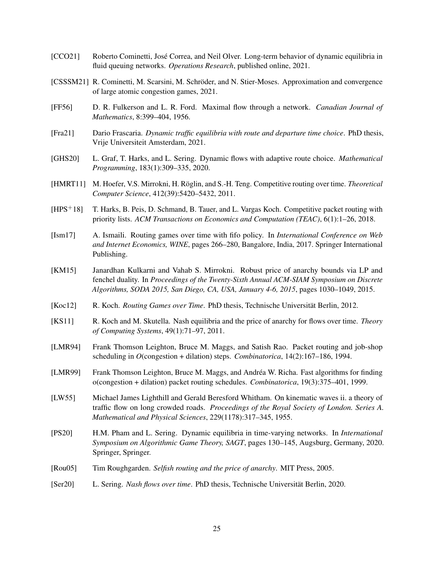- <span id="page-24-0"></span>[CCO21] Roberto Cominetti, Jose Correa, and Neil Olver. Long-term behavior of dynamic equilibria in ´ fluid queuing networks. *Operations Research*, published online, 2021.
- <span id="page-24-14"></span>[CSSSM21] R. Cominetti, M. Scarsini, M. Schröder, and N. Stier-Moses. Approximation and convergence of large atomic congestion games, 2021.
- <span id="page-24-4"></span>[FF56] D. R. Fulkerson and L. R. Ford. Maximal flow through a network. *Canadian Journal of Mathematics*, 8:399–404, 1956.
- <span id="page-24-15"></span>[Fra21] Dario Frascaria. *Dynamic traffic equilibria with route and departure time choice*. PhD thesis, Vrije Universiteit Amsterdam, 2021.
- <span id="page-24-5"></span>[GHS20] L. Graf, T. Harks, and L. Sering. Dynamic flows with adaptive route choice. *Mathematical Programming*, 183(1):309–335, 2020.
- <span id="page-24-9"></span>[HMRT11] M. Hoefer, V.S. Mirrokni, H. Röglin, and S.-H. Teng. Competitive routing over time. *Theoretical Computer Science*, 412(39):5420–5432, 2011.
- <span id="page-24-11"></span>[HPS+18] T. Harks, B. Peis, D. Schmand, B. Tauer, and L. Vargas Koch. Competitive packet routing with priority lists. *ACM Transactions on Economics and Computation (TEAC)*, 6(1):1–26, 2018.
- <span id="page-24-8"></span>[Ism17] A. Ismaili. Routing games over time with fifo policy. In *International Conference on Web and Internet Economics, WINE*, pages 266–280, Bangalore, India, 2017. Springer International Publishing.
- <span id="page-24-10"></span>[KM15] Janardhan Kulkarni and Vahab S. Mirrokni. Robust price of anarchy bounds via LP and fenchel duality. In *Proceedings of the Twenty-Sixth Annual ACM-SIAM Symposium on Discrete Algorithms, SODA 2015, San Diego, CA, USA, January 4-6, 2015*, pages 1030–1049, 2015.
- <span id="page-24-13"></span>[Koc12] R. Koch. *Routing Games over Time*. PhD thesis, Technische Universität Berlin, 2012.
- <span id="page-24-12"></span>[KS11] R. Koch and M. Skutella. Nash equilibria and the price of anarchy for flows over time. *Theory of Computing Systems*, 49(1):71–97, 2011.
- <span id="page-24-6"></span>[LMR94] Frank Thomson Leighton, Bruce M. Maggs, and Satish Rao. Packet routing and job-shop scheduling in *O*(congestion + dilation) steps. *Combinatorica*, 14(2):167–186, 1994.
- <span id="page-24-7"></span>[LMR99] Frank Thomson Leighton, Bruce M. Maggs, and Andrea W. Richa. Fast algorithms for finding ´ o(congestion + dilation) packet routing schedules. *Combinatorica*, 19(3):375–401, 1999.
- <span id="page-24-2"></span>[LW55] Michael James Lighthill and Gerald Beresford Whitham. On kinematic waves ii. a theory of traffic flow on long crowded roads. *Proceedings of the Royal Society of London. Series A. Mathematical and Physical Sciences*, 229(1178):317–345, 1955.
- <span id="page-24-16"></span>[PS20] H.M. Pham and L. Sering. Dynamic equilibria in time-varying networks. In *International Symposium on Algorithmic Game Theory, SAGT*, pages 130–145, Augsburg, Germany, 2020. Springer, Springer.
- <span id="page-24-1"></span>[Rou05] Tim Roughgarden. *Selfish routing and the price of anarchy*. MIT Press, 2005.
- <span id="page-24-3"></span>[Ser20] L. Sering. *Nash flows over time*. PhD thesis, Technische Universität Berlin, 2020.